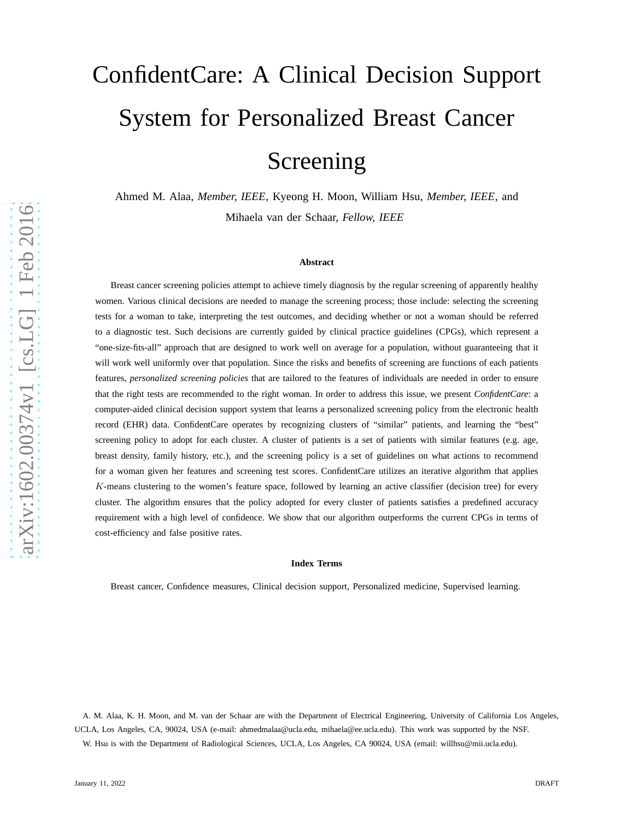# ConfidentCare: A Clinical Decision Support System for Personalized Breast Cancer Screening

Ahmed M. Alaa, *Member, IEEE*, Kyeong H. Moon, William Hsu, *Member, IEEE*, and Mihaela van der Schaar, *Fellow, IEEE*

#### **Abstract**

Breast cancer screening policies attempt to achieve timely diagnosis by the regular screening of apparently healthy women. Various clinical decisions are needed to manage the screening process; those include: selecting the screening tests for a woman to take, interpreting the test outcomes, and deciding whether or not a woman should be referred to a diagnostic test. Such decisions are currently guided by clinical practice guidelines (CPGs), which represent a "one-size-fits-all" approach that are designed to work well on average for a population, without guaranteeing that it will work well uniformly over that population. Since the risks and benefits of screening are functions of each patients features, *personalized screening policies* that are tailored to the features of individuals are needed in order to ensure that the right tests are recommended to the right woman. In order to address this issue, we present *ConfidentCare*: a computer-aided clinical decision support system that learns a personalized screening policy from the electronic health record (EHR) data. ConfidentCare operates by recognizing clusters of "similar" patients, and learning the "best" screening policy to adopt for each cluster. A cluster of patients is a set of patients with similar features (e.g. age, breast density, family history, etc.), and the screening policy is a set of guidelines on what actions to recommend for a woman given her features and screening test scores. ConfidentCare utilizes an iterative algorithm that applies K-means clustering to the women's feature space, followed by learning an active classifier (decision tree) for every cluster. The algorithm ensures that the policy adopted for every cluster of patients satisfies a predefined accuracy requirement with a high level of confidence. We show that our algorithm outperforms the current CPGs in terms of cost-efficiency and false positive rates.

#### **Index Terms**

Breast cancer, Confidence measures, Clinical decision support, Personalized medicine, Supervised learning.

A. M. Alaa, K. H. Moon, and M. van der Schaar are with the Department of Electrical Engineering, University of California Los Angeles, UCLA, Los Angeles, CA, 90024, USA (e-mail: ahmedmalaa@ucla.edu, mihaela@ee.ucla.edu). This work was supported by the NSF.

W. Hsu is with the Department of Radiological Sciences, UCLA, Los Angeles, CA 90024, USA (email: willhsu@mii.ucla.edu).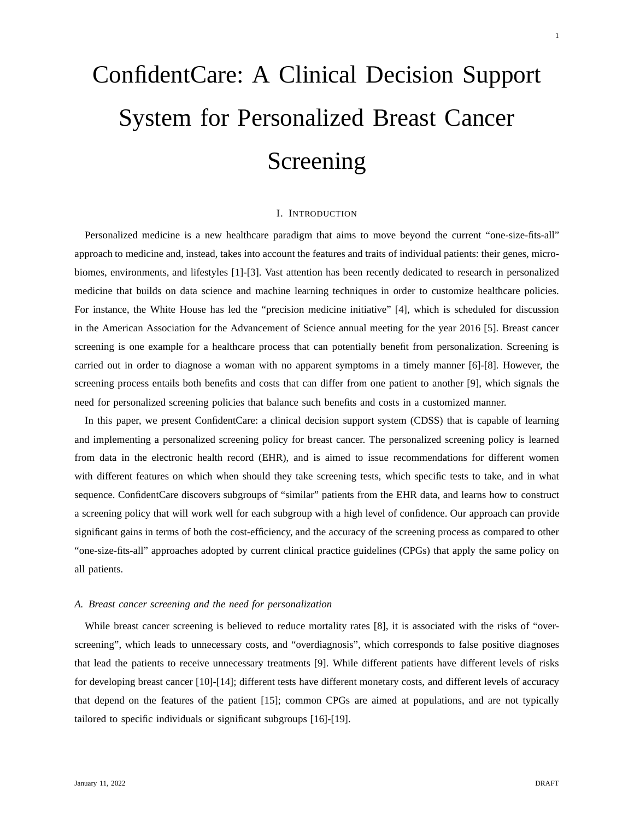# ConfidentCare: A Clinical Decision Support System for Personalized Breast Cancer Screening

#### I. INTRODUCTION

Personalized medicine is a new healthcare paradigm that aims to move beyond the current "one-size-fits-all" approach to medicine and, instead, takes into account the features and traits of individual patients: their genes, microbiomes, environments, and lifestyles [1]-[3]. Vast attention has been recently dedicated to research in personalized medicine that builds on data science and machine learning techniques in order to customize healthcare policies. For instance, the White House has led the "precision medicine initiative" [4], which is scheduled for discussion in the American Association for the Advancement of Science annual meeting for the year 2016 [5]. Breast cancer screening is one example for a healthcare process that can potentially benefit from personalization. Screening is carried out in order to diagnose a woman with no apparent symptoms in a timely manner [6]-[8]. However, the screening process entails both benefits and costs that can differ from one patient to another [9], which signals the need for personalized screening policies that balance such benefits and costs in a customized manner.

In this paper, we present ConfidentCare: a clinical decision support system (CDSS) that is capable of learning and implementing a personalized screening policy for breast cancer. The personalized screening policy is learned from data in the electronic health record (EHR), and is aimed to issue recommendations for different women with different features on which when should they take screening tests, which specific tests to take, and in what sequence. ConfidentCare discovers subgroups of "similar" patients from the EHR data, and learns how to construct a screening policy that will work well for each subgroup with a high level of confidence. Our approach can provide significant gains in terms of both the cost-efficiency, and the accuracy of the screening process as compared to other "one-size-fits-all" approaches adopted by current clinical practice guidelines (CPGs) that apply the same policy on all patients.

# *A. Breast cancer screening and the need for personalization*

While breast cancer screening is believed to reduce mortality rates [8], it is associated with the risks of "overscreening", which leads to unnecessary costs, and "overdiagnosis", which corresponds to false positive diagnoses that lead the patients to receive unnecessary treatments [9]. While different patients have different levels of risks for developing breast cancer [10]-[14]; different tests have different monetary costs, and different levels of accuracy that depend on the features of the patient [15]; common CPGs are aimed at populations, and are not typically tailored to specific individuals or significant subgroups [16]-[19].

1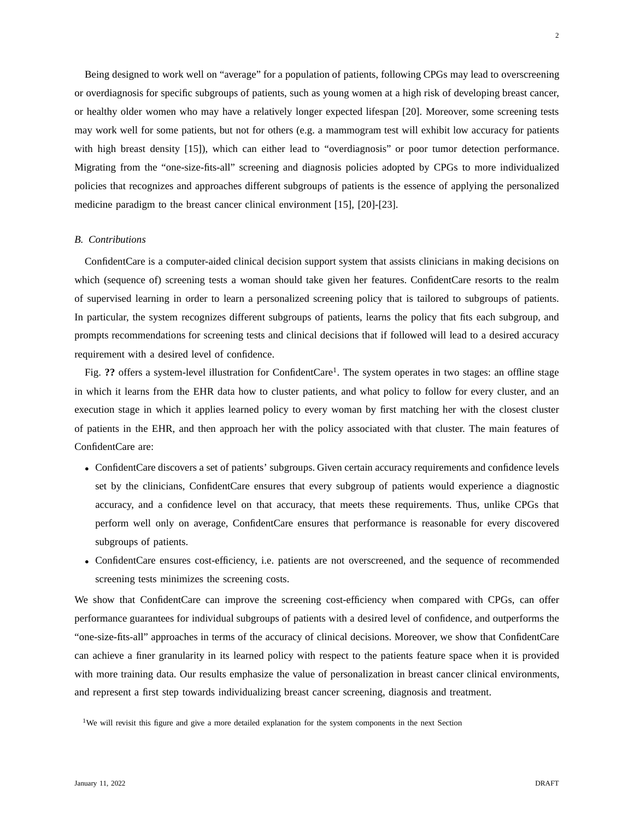Being designed to work well on "average" for a population of patients, following CPGs may lead to overscreening or overdiagnosis for specific subgroups of patients, such as young women at a high risk of developing breast cancer, or healthy older women who may have a relatively longer expected lifespan [20]. Moreover, some screening tests may work well for some patients, but not for others (e.g. a mammogram test will exhibit low accuracy for patients with high breast density [15]), which can either lead to "overdiagnosis" or poor tumor detection performance. Migrating from the "one-size-fits-all" screening and diagnosis policies adopted by CPGs to more individualized policies that recognizes and approaches different subgroups of patients is the essence of applying the personalized

#### *B. Contributions*

ConfidentCare is a computer-aided clinical decision support system that assists clinicians in making decisions on which (sequence of) screening tests a woman should take given her features. ConfidentCare resorts to the realm of supervised learning in order to learn a personalized screening policy that is tailored to subgroups of patients. In particular, the system recognizes different subgroups of patients, learns the policy that fits each subgroup, and prompts recommendations for screening tests and clinical decisions that if followed will lead to a desired accuracy requirement with a desired level of confidence.

medicine paradigm to the breast cancer clinical environment [15], [20]-[23].

Fig. ?? offers a system-level illustration for ConfidentCare<sup>1</sup>. The system operates in two stages: an offline stage in which it learns from the EHR data how to cluster patients, and what policy to follow for every cluster, and an execution stage in which it applies learned policy to every woman by first matching her with the closest cluster of patients in the EHR, and then approach her with the policy associated with that cluster. The main features of ConfidentCare are:

- ConfidentCare discovers a set of patients' subgroups. Given certain accuracy requirements and confidence levels set by the clinicians, ConfidentCare ensures that every subgroup of patients would experience a diagnostic accuracy, and a confidence level on that accuracy, that meets these requirements. Thus, unlike CPGs that perform well only on average, ConfidentCare ensures that performance is reasonable for every discovered subgroups of patients.
- ConfidentCare ensures cost-efficiency, i.e. patients are not overscreened, and the sequence of recommended screening tests minimizes the screening costs.

We show that ConfidentCare can improve the screening cost-efficiency when compared with CPGs, can offer performance guarantees for individual subgroups of patients with a desired level of confidence, and outperforms the "one-size-fits-all" approaches in terms of the accuracy of clinical decisions. Moreover, we show that ConfidentCare can achieve a finer granularity in its learned policy with respect to the patients feature space when it is provided with more training data. Our results emphasize the value of personalization in breast cancer clinical environments, and represent a first step towards individualizing breast cancer screening, diagnosis and treatment.

<sup>&</sup>lt;sup>1</sup>We will revisit this figure and give a more detailed explanation for the system components in the next Section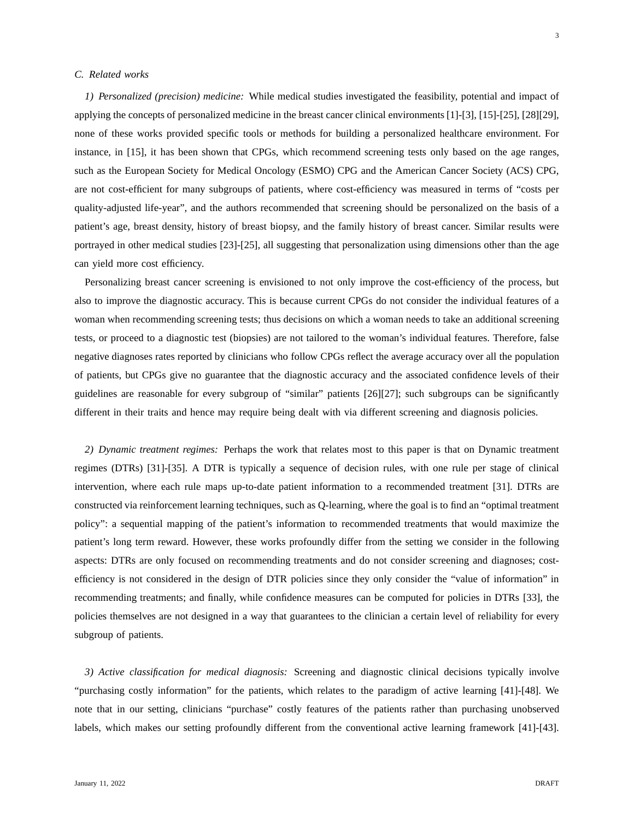### *C. Related works*

*1) Personalized (precision) medicine:* While medical studies investigated the feasibility, potential and impact of applying the concepts of personalized medicine in the breast cancer clinical environments [1]-[3], [15]-[25], [28][29], none of these works provided specific tools or methods for building a personalized healthcare environment. For instance, in [15], it has been shown that CPGs, which recommend screening tests only based on the age ranges, such as the European Society for Medical Oncology (ESMO) CPG and the American Cancer Society (ACS) CPG, are not cost-efficient for many subgroups of patients, where cost-efficiency was measured in terms of "costs per quality-adjusted life-year", and the authors recommended that screening should be personalized on the basis of a patient's age, breast density, history of breast biopsy, and the family history of breast cancer. Similar results were portrayed in other medical studies [23]-[25], all suggesting that personalization using dimensions other than the age can yield more cost efficiency.

Personalizing breast cancer screening is envisioned to not only improve the cost-efficiency of the process, but also to improve the diagnostic accuracy. This is because current CPGs do not consider the individual features of a woman when recommending screening tests; thus decisions on which a woman needs to take an additional screening tests, or proceed to a diagnostic test (biopsies) are not tailored to the woman's individual features. Therefore, false negative diagnoses rates reported by clinicians who follow CPGs reflect the average accuracy over all the population of patients, but CPGs give no guarantee that the diagnostic accuracy and the associated confidence levels of their guidelines are reasonable for every subgroup of "similar" patients [26][27]; such subgroups can be significantly different in their traits and hence may require being dealt with via different screening and diagnosis policies.

*2) Dynamic treatment regimes:* Perhaps the work that relates most to this paper is that on Dynamic treatment regimes (DTRs) [31]-[35]. A DTR is typically a sequence of decision rules, with one rule per stage of clinical intervention, where each rule maps up-to-date patient information to a recommended treatment [31]. DTRs are constructed via reinforcement learning techniques, such as Q-learning, where the goal is to find an "optimal treatment policy": a sequential mapping of the patient's information to recommended treatments that would maximize the patient's long term reward. However, these works profoundly differ from the setting we consider in the following aspects: DTRs are only focused on recommending treatments and do not consider screening and diagnoses; costefficiency is not considered in the design of DTR policies since they only consider the "value of information" in recommending treatments; and finally, while confidence measures can be computed for policies in DTRs [33], the policies themselves are not designed in a way that guarantees to the clinician a certain level of reliability for every subgroup of patients.

*3) Active classification for medical diagnosis:* Screening and diagnostic clinical decisions typically involve "purchasing costly information" for the patients, which relates to the paradigm of active learning [41]-[48]. We note that in our setting, clinicians "purchase" costly features of the patients rather than purchasing unobserved labels, which makes our setting profoundly different from the conventional active learning framework [41]-[43].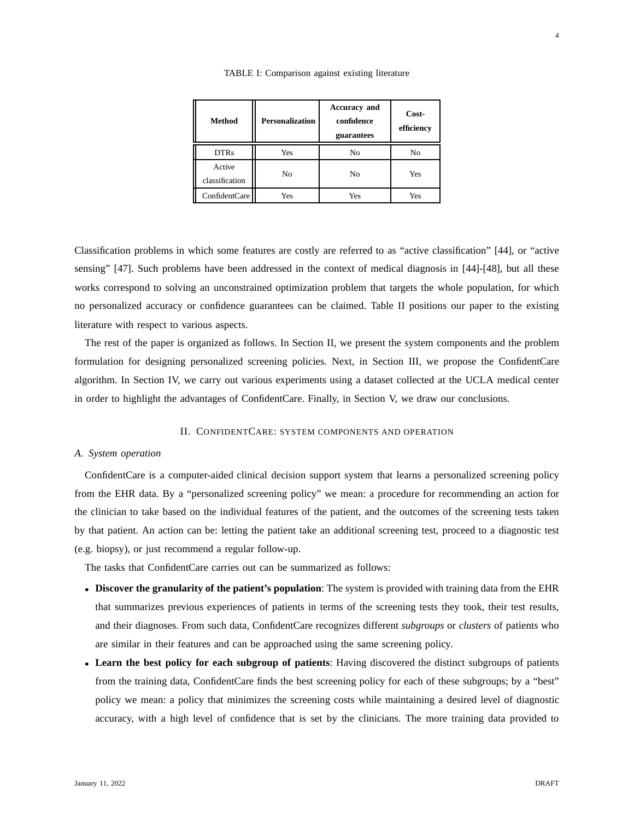| Method                   | <b>Personalization</b> | <b>Accuracy and</b><br>confidence<br>guarantees | Cost-<br>efficiency |  |
|--------------------------|------------------------|-------------------------------------------------|---------------------|--|
| <b>DTRs</b>              | Yes                    | No                                              | No                  |  |
| Active<br>classification | No                     | No                                              | Yes                 |  |
| ConfidentCare            | Yes                    | Yes                                             | Yes                 |  |

TABLE I: Comparison against existing literature

Classification problems in which some features are costly are referred to as "active classification" [44], or "active sensing" [47]. Such problems have been addressed in the context of medical diagnosis in [44]-[48], but all these works correspond to solving an unconstrained optimization problem that targets the whole population, for which no personalized accuracy or confidence guarantees can be claimed. Table II positions our paper to the existing literature with respect to various aspects.

The rest of the paper is organized as follows. In Section II, we present the system components and the problem formulation for designing personalized screening policies. Next, in Section III, we propose the ConfidentCare algorithm. In Section IV, we carry out various experiments using a dataset collected at the UCLA medical center in order to highlight the advantages of ConfidentCare. Finally, in Section V, we draw our conclusions.

#### II. CONFIDENTCARE: SYSTEM COMPONENTS AND OPERATION

#### *A. System operation*

ConfidentCare is a computer-aided clinical decision support system that learns a personalized screening policy from the EHR data. By a "personalized screening policy" we mean: a procedure for recommending an action for the clinician to take based on the individual features of the patient, and the outcomes of the screening tests taken by that patient. An action can be: letting the patient take an additional screening test, proceed to a diagnostic test (e.g. biopsy), or just recommend a regular follow-up.

The tasks that ConfidentCare carries out can be summarized as follows:

- **Discover the granularity of the patient's population**: The system is provided with training data from the EHR that summarizes previous experiences of patients in terms of the screening tests they took, their test results, and their diagnoses. From such data, ConfidentCare recognizes different *subgroups* or *clusters* of patients who are similar in their features and can be approached using the same screening policy.
- **Learn the best policy for each subgroup of patients**: Having discovered the distinct subgroups of patients from the training data, ConfidentCare finds the best screening policy for each of these subgroups; by a "best" policy we mean: a policy that minimizes the screening costs while maintaining a desired level of diagnostic accuracy, with a high level of confidence that is set by the clinicians. The more training data provided to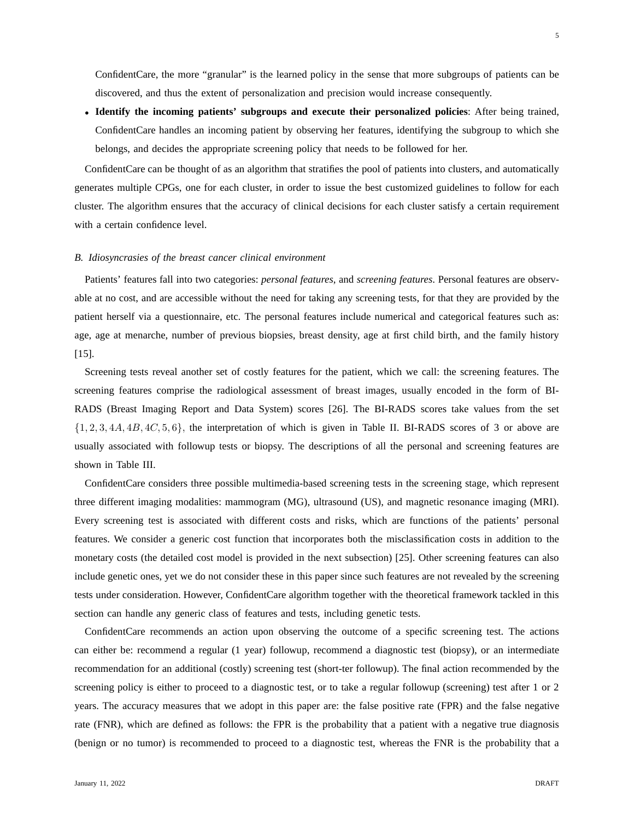5

ConfidentCare, the more "granular" is the learned policy in the sense that more subgroups of patients can be discovered, and thus the extent of personalization and precision would increase consequently.

• **Identify the incoming patients' subgroups and execute their personalized policies**: After being trained, ConfidentCare handles an incoming patient by observing her features, identifying the subgroup to which she belongs, and decides the appropriate screening policy that needs to be followed for her.

ConfidentCare can be thought of as an algorithm that stratifies the pool of patients into clusters, and automatically generates multiple CPGs, one for each cluster, in order to issue the best customized guidelines to follow for each cluster. The algorithm ensures that the accuracy of clinical decisions for each cluster satisfy a certain requirement with a certain confidence level.

# *B. Idiosyncrasies of the breast cancer clinical environment*

Patients' features fall into two categories: *personal features*, and *screening features*. Personal features are observable at no cost, and are accessible without the need for taking any screening tests, for that they are provided by the patient herself via a questionnaire, etc. The personal features include numerical and categorical features such as: age, age at menarche, number of previous biopsies, breast density, age at first child birth, and the family history [15].

Screening tests reveal another set of costly features for the patient, which we call: the screening features. The screening features comprise the radiological assessment of breast images, usually encoded in the form of BI-RADS (Breast Imaging Report and Data System) scores [26]. The BI-RADS scores take values from the set  $\{1, 2, 3, 4A, 4B, 4C, 5, 6\}$ , the interpretation of which is given in Table II. BI-RADS scores of 3 or above are usually associated with followup tests or biopsy. The descriptions of all the personal and screening features are shown in Table III.

ConfidentCare considers three possible multimedia-based screening tests in the screening stage, which represent three different imaging modalities: mammogram (MG), ultrasound (US), and magnetic resonance imaging (MRI). Every screening test is associated with different costs and risks, which are functions of the patients' personal features. We consider a generic cost function that incorporates both the misclassification costs in addition to the monetary costs (the detailed cost model is provided in the next subsection) [25]. Other screening features can also include genetic ones, yet we do not consider these in this paper since such features are not revealed by the screening tests under consideration. However, ConfidentCare algorithm together with the theoretical framework tackled in this section can handle any generic class of features and tests, including genetic tests.

ConfidentCare recommends an action upon observing the outcome of a specific screening test. The actions can either be: recommend a regular (1 year) followup, recommend a diagnostic test (biopsy), or an intermediate recommendation for an additional (costly) screening test (short-ter followup). The final action recommended by the screening policy is either to proceed to a diagnostic test, or to take a regular followup (screening) test after 1 or 2 years. The accuracy measures that we adopt in this paper are: the false positive rate (FPR) and the false negative rate (FNR), which are defined as follows: the FPR is the probability that a patient with a negative true diagnosis (benign or no tumor) is recommended to proceed to a diagnostic test, whereas the FNR is the probability that a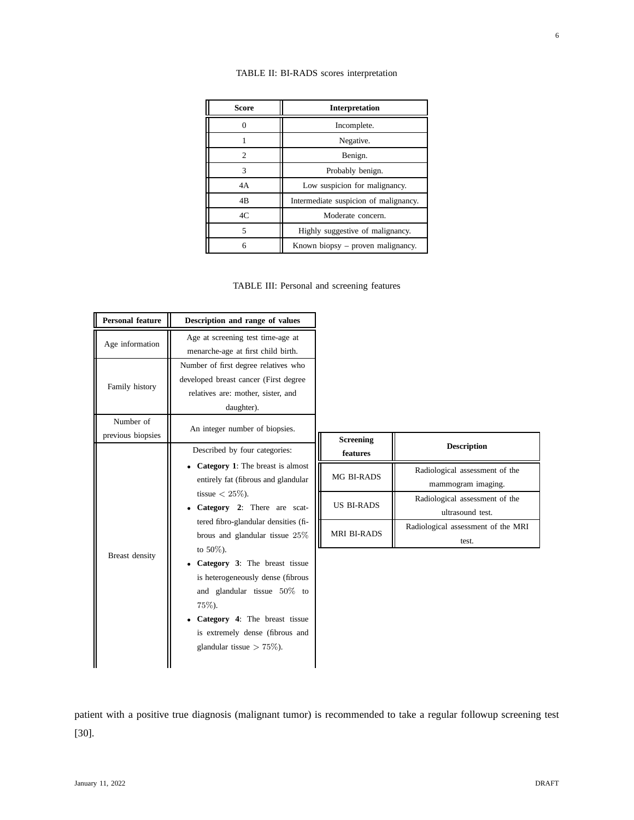| TABLE II: BI-RADS scores interpretation |  |  |
|-----------------------------------------|--|--|
|-----------------------------------------|--|--|

| Score                       | <b>Interpretation</b>                 |  |  |
|-----------------------------|---------------------------------------|--|--|
|                             | Incomplete.                           |  |  |
|                             | Negative.                             |  |  |
| $\mathcal{D}_{\mathcal{L}}$ | Benign.                               |  |  |
| 3                           | Probably benign.                      |  |  |
| 4A                          | Low suspicion for malignancy.         |  |  |
| 4B                          | Intermediate suspicion of malignancy. |  |  |
| 4C                          | Moderate concern.                     |  |  |
| 5                           | Highly suggestive of malignancy.      |  |  |
| 6                           | Known biopsy – proven malignancy.     |  |  |

TABLE III: Personal and screening features

| <b>Personal feature</b>        | Description and range of values                                                                                                                                                                                            |                              |                                                      |
|--------------------------------|----------------------------------------------------------------------------------------------------------------------------------------------------------------------------------------------------------------------------|------------------------------|------------------------------------------------------|
| Age information                | Age at screening test time-age at<br>menarche-age at first child birth.                                                                                                                                                    |                              |                                                      |
| Family history                 | Number of first degree relatives who<br>developed breast cancer (First degree<br>relatives are: mother, sister, and<br>daughter).                                                                                          |                              |                                                      |
| Number of<br>previous biopsies | An integer number of biopsies.<br>Described by four categories:                                                                                                                                                            | <b>Screening</b><br>features | <b>Description</b>                                   |
|                                | • Category 1: The breast is almost<br>entirely fat (fibrous and glandular<br>tissue $< 25\%$ ).<br>• Category 2: There are scat-<br>tered fibro-glandular densities (fi-<br>brous and glandular tissue 25%<br>to $50\%$ ). | MG BI-RADS                   | Radiological assessment of the<br>mammogram imaging. |
|                                |                                                                                                                                                                                                                            | <b>US BI-RADS</b>            | Radiological assessment of the<br>ultrasound test.   |
|                                |                                                                                                                                                                                                                            | <b>MRI BI-RADS</b>           | Radiological assessment of the MRI<br>test.          |
| Breast density                 | • Category 3: The breast tissue<br>is heterogeneously dense (fibrous<br>and glandular tissue $50\%$ to<br>75%).<br>• Category 4: The breast tissue<br>is extremely dense (fibrous and<br>glandular tissue $> 75\%$ ).      |                              |                                                      |

patient with a positive true diagnosis (malignant tumor) is recommended to take a regular followup screening test [30].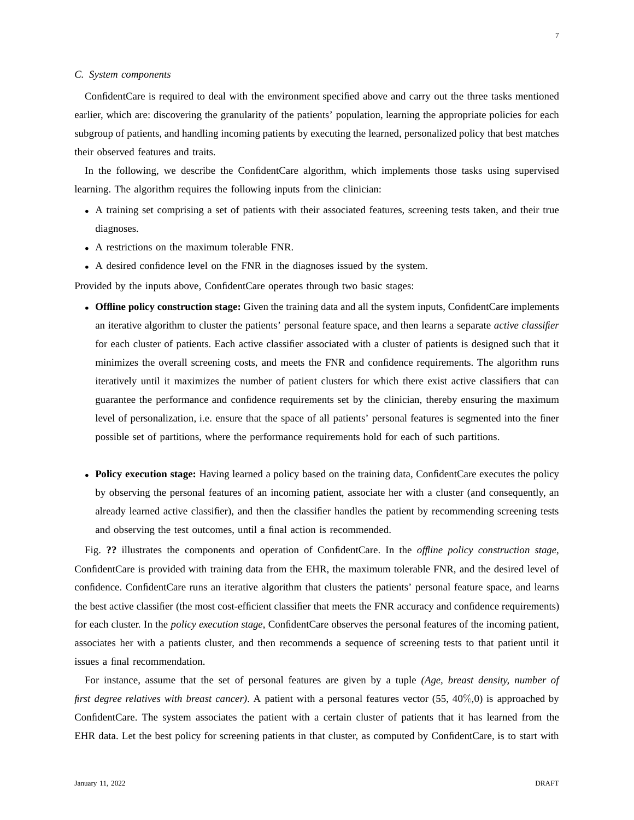#### *C. System components*

ConfidentCare is required to deal with the environment specified above and carry out the three tasks mentioned earlier, which are: discovering the granularity of the patients' population, learning the appropriate policies for each subgroup of patients, and handling incoming patients by executing the learned, personalized policy that best matches their observed features and traits.

In the following, we describe the ConfidentCare algorithm, which implements those tasks using supervised learning. The algorithm requires the following inputs from the clinician:

- A training set comprising a set of patients with their associated features, screening tests taken, and their true diagnoses.
- A restrictions on the maximum tolerable FNR.
- A desired confidence level on the FNR in the diagnoses issued by the system.

Provided by the inputs above, ConfidentCare operates through two basic stages:

- **Offline policy construction stage:** Given the training data and all the system inputs, ConfidentCare implements an iterative algorithm to cluster the patients' personal feature space, and then learns a separate *active classifier* for each cluster of patients. Each active classifier associated with a cluster of patients is designed such that it minimizes the overall screening costs, and meets the FNR and confidence requirements. The algorithm runs iteratively until it maximizes the number of patient clusters for which there exist active classifiers that can guarantee the performance and confidence requirements set by the clinician, thereby ensuring the maximum level of personalization, i.e. ensure that the space of all patients' personal features is segmented into the finer possible set of partitions, where the performance requirements hold for each of such partitions.
- **Policy execution stage:** Having learned a policy based on the training data, ConfidentCare executes the policy by observing the personal features of an incoming patient, associate her with a cluster (and consequently, an already learned active classifier), and then the classifier handles the patient by recommending screening tests and observing the test outcomes, until a final action is recommended.

Fig. **??** illustrates the components and operation of ConfidentCare. In the *offline policy construction stage*, ConfidentCare is provided with training data from the EHR, the maximum tolerable FNR, and the desired level of confidence. ConfidentCare runs an iterative algorithm that clusters the patients' personal feature space, and learns the best active classifier (the most cost-efficient classifier that meets the FNR accuracy and confidence requirements) for each cluster. In the *policy execution stage*, ConfidentCare observes the personal features of the incoming patient, associates her with a patients cluster, and then recommends a sequence of screening tests to that patient until it issues a final recommendation.

For instance, assume that the set of personal features are given by a tuple *(Age, breast density, number of first degree relatives with breast cancer)*. A patient with a personal features vector (55, 40%,0) is approached by ConfidentCare. The system associates the patient with a certain cluster of patients that it has learned from the EHR data. Let the best policy for screening patients in that cluster, as computed by ConfidentCare, is to start with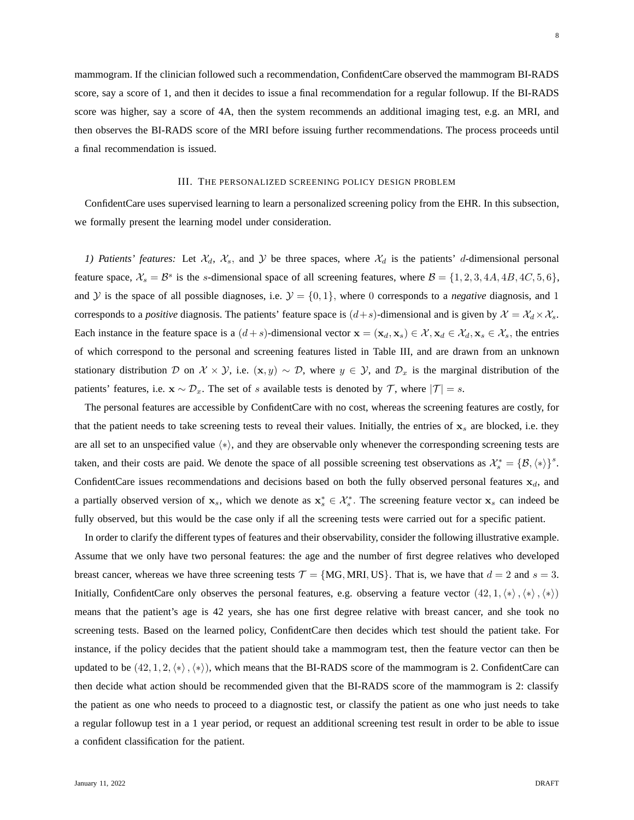mammogram. If the clinician followed such a recommendation, ConfidentCare observed the mammogram BI-RADS score, say a score of 1, and then it decides to issue a final recommendation for a regular followup. If the BI-RADS score was higher, say a score of 4A, then the system recommends an additional imaging test, e.g. an MRI, and then observes the BI-RADS score of the MRI before issuing further recommendations. The process proceeds until a final recommendation is issued.

#### III. THE PERSONALIZED SCREENING POLICY DESIGN PROBLEM

ConfidentCare uses supervised learning to learn a personalized screening policy from the EHR. In this subsection, we formally present the learning model under consideration.

*1) Patients' features:* Let  $\mathcal{X}_d$ ,  $\mathcal{X}_s$ , and  $\mathcal{Y}$  be three spaces, where  $\mathcal{X}_d$  is the patients' d-dimensional personal feature space,  $\mathcal{X}_s = \mathcal{B}^s$  is the s-dimensional space of all screening features, where  $\mathcal{B} = \{1, 2, 3, 4A, 4B, 4C, 5, 6\}$ , and Y is the space of all possible diagnoses, i.e.  $\mathcal{Y} = \{0, 1\}$ , where 0 corresponds to a *negative* diagnosis, and 1 corresponds to a *positive* diagnosis. The patients' feature space is  $(d+s)$ -dimensional and is given by  $\mathcal{X} = \mathcal{X}_d \times \mathcal{X}_s$ . Each instance in the feature space is a  $(d+s)$ -dimensional vector  $\mathbf{x} = (\mathbf{x}_d, \mathbf{x}_s) \in \mathcal{X}, \mathbf{x}_d \in \mathcal{X}_d, \mathbf{x}_s \in \mathcal{X}_s$ , the entries of which correspond to the personal and screening features listed in Table III, and are drawn from an unknown stationary distribution D on  $X \times Y$ , i.e.  $(x, y) \sim D$ , where  $y \in Y$ , and  $\mathcal{D}_x$  is the marginal distribution of the patients' features, i.e.  $\mathbf{x} \sim \mathcal{D}_x$ . The set of s available tests is denoted by  $\mathcal{T}$ , where  $|\mathcal{T}| = s$ .

The personal features are accessible by ConfidentCare with no cost, whereas the screening features are costly, for that the patient needs to take screening tests to reveal their values. Initially, the entries of  $x_s$  are blocked, i.e. they are all set to an unspecified value  $\langle \ast \rangle$ , and they are observable only whenever the corresponding screening tests are taken, and their costs are paid. We denote the space of all possible screening test observations as  $\mathcal{X}_s^* = {\mathcal{B}, \langle * \rangle}^s$ . ConfidentCare issues recommendations and decisions based on both the fully observed personal features  $x_d$ , and a partially observed version of  $x_s$ , which we denote as  $x_s^* \in \mathcal{X}_s^*$ . The screening feature vector  $x_s$  can indeed be fully observed, but this would be the case only if all the screening tests were carried out for a specific patient.

In order to clarify the different types of features and their observability, consider the following illustrative example. Assume that we only have two personal features: the age and the number of first degree relatives who developed breast cancer, whereas we have three screening tests  $\mathcal{T} = \{MG, MRI, US\}$ . That is, we have that  $d = 2$  and  $s = 3$ . Initially, ConfidentCare only observes the personal features, e.g. observing a feature vector  $(42,1,\langle*\rangle,\langle*\rangle,\langle*\rangle)$ means that the patient's age is 42 years, she has one first degree relative with breast cancer, and she took no screening tests. Based on the learned policy, ConfidentCare then decides which test should the patient take. For instance, if the policy decides that the patient should take a mammogram test, then the feature vector can then be updated to be  $(42, 1, 2, \langle * \rangle, \langle * \rangle)$ , which means that the BI-RADS score of the mammogram is 2. ConfidentCare can then decide what action should be recommended given that the BI-RADS score of the mammogram is 2: classify the patient as one who needs to proceed to a diagnostic test, or classify the patient as one who just needs to take a regular followup test in a 1 year period, or request an additional screening test result in order to be able to issue a confident classification for the patient.

8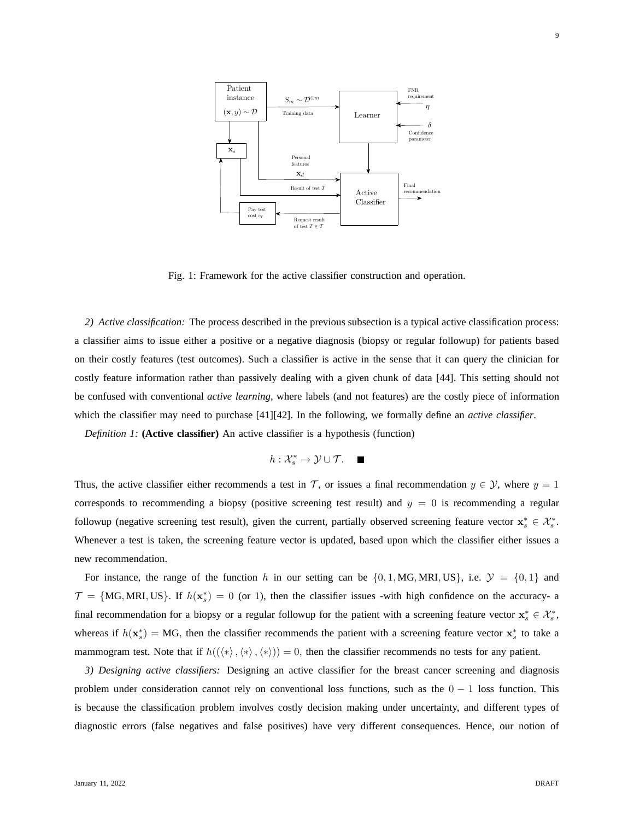

Fig. 1: Framework for the active classifier construction and operation.

*2) Active classification:* The process described in the previous subsection is a typical active classification process: a classifier aims to issue either a positive or a negative diagnosis (biopsy or regular followup) for patients based on their costly features (test outcomes). Such a classifier is active in the sense that it can query the clinician for costly feature information rather than passively dealing with a given chunk of data [44]. This setting should not be confused with conventional *active learning*, where labels (and not features) are the costly piece of information which the classifier may need to purchase [41][42]. In the following, we formally define an *active classifier*.

*Definition 1:* **(Active classifier)** An active classifier is a hypothesis (function)

 $h: \mathcal{X}_s^* \to \mathcal{Y} \cup \mathcal{T}.$ 

Thus, the active classifier either recommends a test in T, or issues a final recommendation  $y \in \mathcal{Y}$ , where  $y = 1$ corresponds to recommending a biopsy (positive screening test result) and  $y = 0$  is recommending a regular followup (negative screening test result), given the current, partially observed screening feature vector  $\mathbf{x}_s^* \in \mathcal{X}_s^*$ . Whenever a test is taken, the screening feature vector is updated, based upon which the classifier either issues a new recommendation.

For instance, the range of the function h in our setting can be  $\{0, 1, MG, MRI, US\}$ , i.e.  $\mathcal{Y} = \{0, 1\}$  and  $\mathcal{T} = \{MG, MRI, US\}$ . If  $h(\mathbf{x}_s^*) = 0$  (or 1), then the classifier issues -with high confidence on the accuracy- a final recommendation for a biopsy or a regular followup for the patient with a screening feature vector  $x_s^* \in \mathcal{X}_s^*$ , whereas if  $h(\mathbf{x}_s^*) = \mathbf{MG}$ , then the classifier recommends the patient with a screening feature vector  $\mathbf{x}_s^*$  to take a mammogram test. Note that if  $h((\langle * \rangle, \langle * \rangle), \langle * \rangle) = 0$ , then the classifier recommends no tests for any patient.

*3) Designing active classifiers:* Designing an active classifier for the breast cancer screening and diagnosis problem under consideration cannot rely on conventional loss functions, such as the  $0 - 1$  loss function. This is because the classification problem involves costly decision making under uncertainty, and different types of diagnostic errors (false negatives and false positives) have very different consequences. Hence, our notion of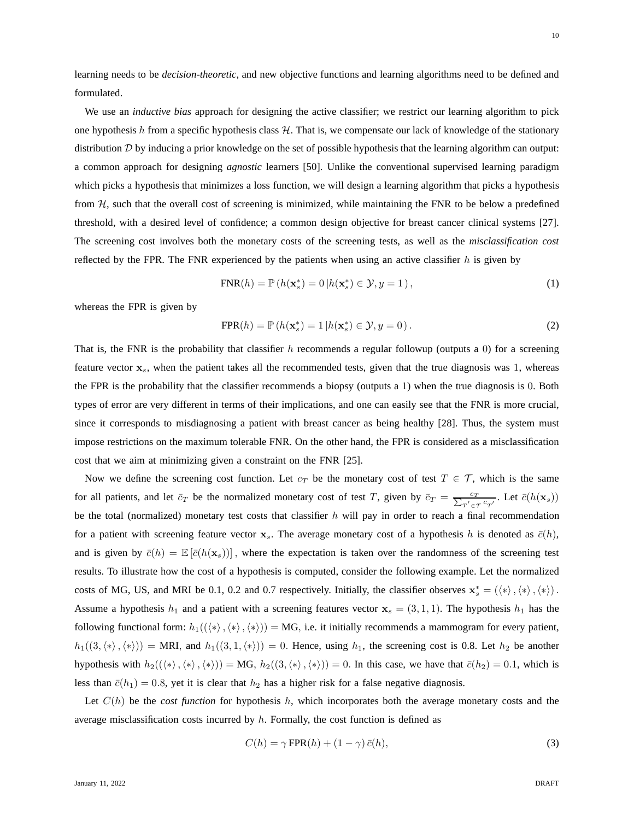We use an *inductive bias* approach for designing the active classifier; we restrict our learning algorithm to pick one hypothesis h from a specific hypothesis class  $H$ . That is, we compensate our lack of knowledge of the stationary distribution  $D$  by inducing a prior knowledge on the set of possible hypothesis that the learning algorithm can output: a common approach for designing *agnostic* learners [50]. Unlike the conventional supervised learning paradigm which picks a hypothesis that minimizes a loss function, we will design a learning algorithm that picks a hypothesis from  $H$ , such that the overall cost of screening is minimized, while maintaining the FNR to be below a predefined threshold, with a desired level of confidence; a common design objective for breast cancer clinical systems [27]. The screening cost involves both the monetary costs of the screening tests, as well as the *misclassification cost* reflected by the FPR. The FNR experienced by the patients when using an active classifier  $h$  is given by

$$
FNR(h) = \mathbb{P}\left(h(\mathbf{x}_s^*) = 0 \middle| h(\mathbf{x}_s^*) \in \mathcal{Y}, y = 1\right),\tag{1}
$$

whereas the FPR is given by

formulated.

$$
FPR(h) = \mathbb{P}\left(h(\mathbf{x}_s^*) = 1 \middle| h(\mathbf{x}_s^*) \in \mathcal{Y}, y = 0\right). \tag{2}
$$

That is, the FNR is the probability that classifier h recommends a regular followup (outputs a 0) for a screening feature vector  $x_s$ , when the patient takes all the recommended tests, given that the true diagnosis was 1, whereas the FPR is the probability that the classifier recommends a biopsy (outputs a 1) when the true diagnosis is 0. Both types of error are very different in terms of their implications, and one can easily see that the FNR is more crucial, since it corresponds to misdiagnosing a patient with breast cancer as being healthy [28]. Thus, the system must impose restrictions on the maximum tolerable FNR. On the other hand, the FPR is considered as a misclassification cost that we aim at minimizing given a constraint on the FNR [25].

Now we define the screening cost function. Let  $c_T$  be the monetary cost of test  $T \in \mathcal{T}$ , which is the same for all patients, and let  $\bar{c}_T$  be the normalized monetary cost of test T, given by  $\bar{c}_T = \frac{c_T}{\sum_{T' \in \mathcal{T}} c_{T'}}$ . Let  $\bar{c}(h(\mathbf{x}_s))$ be the total (normalized) monetary test costs that classifier h will pay in order to reach a final recommendation for a patient with screening feature vector  $x_s$ . The average monetary cost of a hypothesis h is denoted as  $\bar{c}(h)$ , and is given by  $\bar{c}(h) = \mathbb{E}[\bar{c}(h(\mathbf{x}_s))]$ , where the expectation is taken over the randomness of the screening test results. To illustrate how the cost of a hypothesis is computed, consider the following example. Let the normalized costs of MG, US, and MRI be 0.1, 0.2 and 0.7 respectively. Initially, the classifier observes  $\mathbf{x}_{s}^{*} = (\langle * \rangle, \langle * \rangle, \langle * \rangle)$ . Assume a hypothesis  $h_1$  and a patient with a screening features vector  $\mathbf{x}_s = (3, 1, 1)$ . The hypothesis  $h_1$  has the following functional form:  $h_1(\langle\langle *, \rangle, \langle * \rangle) = MG$ , i.e. it initially recommends a mammogram for every patient,  $h_1((3,\langle * \rangle,\langle * \rangle)) = \text{MRI}$ , and  $h_1((3, 1,\langle * \rangle)) = 0$ . Hence, using  $h_1$ , the screening cost is 0.8. Let  $h_2$  be another hypothesis with  $h_2((\langle * \rangle, \langle * \rangle, \langle * \rangle)) = MG, h_2((3,\langle * \rangle, \langle * \rangle)) = 0$ . In this case, we have that  $\bar{c}(h_2) = 0.1$ , which is less than  $\bar{c}(h_1) = 0.8$ , yet it is clear that  $h_2$  has a higher risk for a false negative diagnosis.

Let  $C(h)$  be the *cost function* for hypothesis h, which incorporates both the average monetary costs and the average misclassification costs incurred by  $h$ . Formally, the cost function is defined as

$$
C(h) = \gamma \text{FPR}(h) + (1 - \gamma) \bar{c}(h),\tag{3}
$$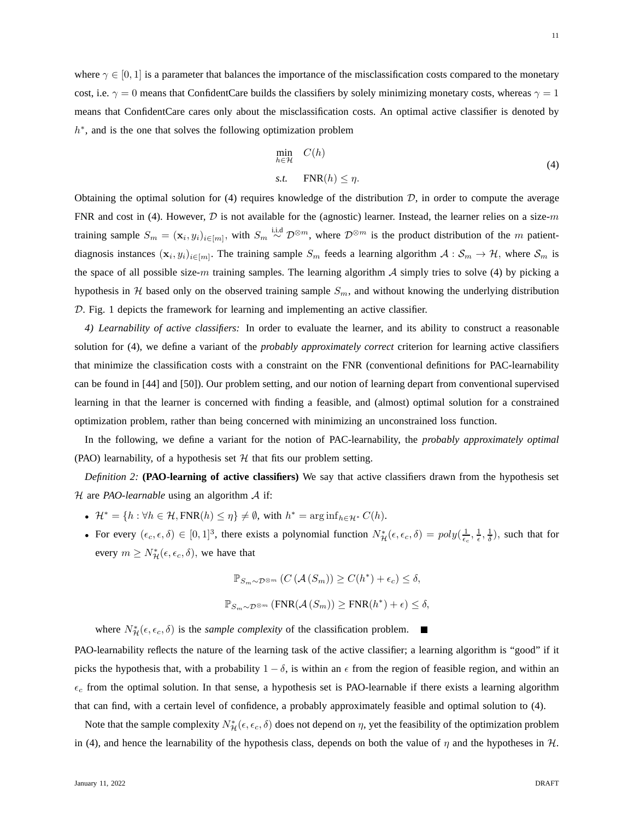where  $\gamma \in [0, 1]$  is a parameter that balances the importance of the misclassification costs compared to the monetary cost, i.e.  $\gamma = 0$  means that ConfidentCare builds the classifiers by solely minimizing monetary costs, whereas  $\gamma = 1$ means that ConfidentCare cares only about the misclassification costs. An optimal active classifier is denoted by h<sup>\*</sup>, and is the one that solves the following optimization problem

$$
\min_{h \in \mathcal{H}} C(h) \ns.t. \quad FNR(h) \le \eta.
$$
\n(4)

Obtaining the optimal solution for (4) requires knowledge of the distribution  $D$ , in order to compute the average FNR and cost in (4). However,  $D$  is not available for the (agnostic) learner. Instead, the learner relies on a size-m training sample  $S_m = (\mathbf{x}_i, y_i)_{i \in [m]},$  with  $S_m \stackrel{\text{i.i.d}}{\sim} \mathcal{D}^{\otimes m}$ , where  $\mathcal{D}^{\otimes m}$  is the product distribution of the m patientdiagnosis instances  $(\mathbf{x}_i, y_i)_{i \in [m]}$ . The training sample  $S_m$  feeds a learning algorithm  $\mathcal{A}: S_m \to \mathcal{H}$ , where  $\mathcal{S}_m$  is the space of all possible size-m training samples. The learning algorithm  $A$  simply tries to solve (4) by picking a hypothesis in H based only on the observed training sample  $S_m$ , and without knowing the underlying distribution D. Fig. 1 depicts the framework for learning and implementing an active classifier.

*4) Learnability of active classifiers:* In order to evaluate the learner, and its ability to construct a reasonable solution for (4), we define a variant of the *probably approximately correct* criterion for learning active classifiers that minimize the classification costs with a constraint on the FNR (conventional definitions for PAC-learnability can be found in [44] and [50]). Our problem setting, and our notion of learning depart from conventional supervised learning in that the learner is concerned with finding a feasible, and (almost) optimal solution for a constrained optimization problem, rather than being concerned with minimizing an unconstrained loss function.

In the following, we define a variant for the notion of PAC-learnability, the *probably approximately optimal* (PAO) learnability, of a hypothesis set  $H$  that fits our problem setting.

*Definition 2:* **(PAO-learning of active classifiers)** We say that active classifiers drawn from the hypothesis set H are *PAO-learnable* using an algorithm A if:

- $\mathcal{H}^* = \{h : \forall h \in \mathcal{H}, \text{FNR}(h) \leq \eta\} \neq \emptyset$ , with  $h^* = \arg \inf_{h \in \mathcal{H}^*} C(h)$ .
- For every  $(\epsilon_c, \epsilon, \delta) \in [0, 1]^3$ , there exists a polynomial function  $N^*_{\mathcal{H}}(\epsilon, \epsilon_c, \delta) = poly(\frac{1}{\epsilon_c}, \frac{1}{\epsilon}, \frac{1}{\delta})$ , such that for every  $m \geq N^*_{\mathcal{H}}(\epsilon, \epsilon_c, \delta)$ , we have that

$$
\mathbb{P}_{S_m \sim \mathcal{D}^{\otimes m}}(C(\mathcal{A}(S_m)) \ge C(h^*) + \epsilon_c) \le \delta,
$$
  

$$
\mathbb{P}_{S_m \sim \mathcal{D}^{\otimes m}}(\text{FNR}(\mathcal{A}(S_m)) \ge \text{FNR}(h^*) + \epsilon) \le \delta,
$$

where  $N^*_{\mathcal{H}}(\epsilon, \epsilon_c, \delta)$  is the *sample complexity* of the classification problem.

PAO-learnability reflects the nature of the learning task of the active classifier; a learning algorithm is "good" if it picks the hypothesis that, with a probability  $1 - \delta$ , is within an  $\epsilon$  from the region of feasible region, and within an  $\epsilon_c$  from the optimal solution. In that sense, a hypothesis set is PAO-learnable if there exists a learning algorithm that can find, with a certain level of confidence, a probably approximately feasible and optimal solution to (4).

Note that the sample complexity  $N^*_{\cal H}(\epsilon,\epsilon_c,\delta)$  does not depend on  $\eta$ , yet the feasibility of the optimization problem in (4), and hence the learnability of the hypothesis class, depends on both the value of  $\eta$  and the hypotheses in H.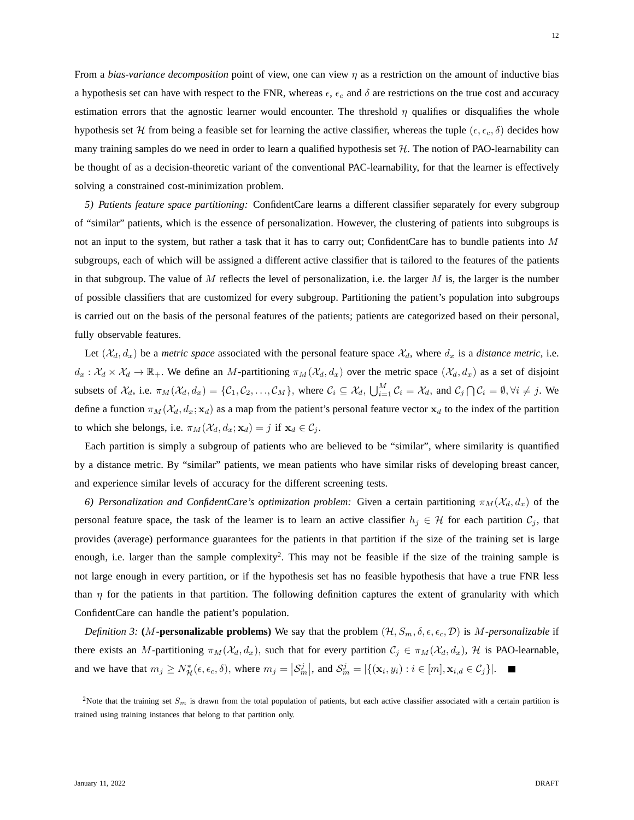From a *bias-variance decomposition* point of view, one can view η as a restriction on the amount of inductive bias a hypothesis set can have with respect to the FNR, whereas  $\epsilon$ ,  $\epsilon_c$  and  $\delta$  are restrictions on the true cost and accuracy estimation errors that the agnostic learner would encounter. The threshold  $\eta$  qualifies or disqualifies the whole hypothesis set H from being a feasible set for learning the active classifier, whereas the tuple ( $\epsilon, \epsilon_c, \delta$ ) decides how many training samples do we need in order to learn a qualified hypothesis set  $H$ . The notion of PAO-learnability can be thought of as a decision-theoretic variant of the conventional PAC-learnability, for that the learner is effectively solving a constrained cost-minimization problem.

*5) Patients feature space partitioning:* ConfidentCare learns a different classifier separately for every subgroup of "similar" patients, which is the essence of personalization. However, the clustering of patients into subgroups is not an input to the system, but rather a task that it has to carry out; ConfidentCare has to bundle patients into M subgroups, each of which will be assigned a different active classifier that is tailored to the features of the patients in that subgroup. The value of  $M$  reflects the level of personalization, i.e. the larger  $M$  is, the larger is the number of possible classifiers that are customized for every subgroup. Partitioning the patient's population into subgroups is carried out on the basis of the personal features of the patients; patients are categorized based on their personal, fully observable features.

Let  $(\mathcal{X}_d, d_x)$  be a *metric space* associated with the personal feature space  $\mathcal{X}_d$ , where  $d_x$  is a *distance metric*, i.e.  $d_x: \mathcal{X}_d \times \mathcal{X}_d \to \mathbb{R}_+$ . We define an M-partitioning  $\pi_M(\mathcal{X}_d, d_x)$  over the metric space  $(\mathcal{X}_d, d_x)$  as a set of disjoint subsets of  $\mathcal{X}_d$ , i.e.  $\pi_M(\mathcal{X}_d, d_x) = \{\mathcal{C}_1, \mathcal{C}_2, \ldots, \mathcal{C}_M\}$ , where  $\mathcal{C}_i \subseteq \mathcal{X}_d$ ,  $\bigcup_{i=1}^M \mathcal{C}_i = \mathcal{X}_d$ , and  $\mathcal{C}_j \bigcap \mathcal{C}_i = \emptyset, \forall i \neq j$ . We define a function  $\pi_M (\mathcal{X}_d, d_x; \mathbf{x}_d)$  as a map from the patient's personal feature vector  $\mathbf{x}_d$  to the index of the partition to which she belongs, i.e.  $\pi_M (\mathcal{X}_d, d_x; \mathbf{x}_d) = j$  if  $\mathbf{x}_d \in \mathcal{C}_j$ .

Each partition is simply a subgroup of patients who are believed to be "similar", where similarity is quantified by a distance metric. By "similar" patients, we mean patients who have similar risks of developing breast cancer, and experience similar levels of accuracy for the different screening tests.

*6) Personalization and ConfidentCare's optimization problem:* Given a certain partitioning  $\pi_M(\mathcal{X}_d, d_x)$  of the personal feature space, the task of the learner is to learn an active classifier  $h_j \in \mathcal{H}$  for each partition  $\mathcal{C}_j$ , that provides (average) performance guarantees for the patients in that partition if the size of the training set is large enough, i.e. larger than the sample complexity<sup>2</sup>. This may not be feasible if the size of the training sample is not large enough in every partition, or if the hypothesis set has no feasible hypothesis that have a true FNR less than  $\eta$  for the patients in that partition. The following definition captures the extent of granularity with which ConfidentCare can handle the patient's population.

*Definition 3:* (M-**personalizable problems)** We say that the problem  $(H, S_m, \delta, \epsilon, \epsilon_c, \mathcal{D})$  is M-personalizable if there exists an M-partitioning  $\pi_M(\mathcal{X}_d, d_x)$ , such that for every partition  $\mathcal{C}_j \in \pi_M(\mathcal{X}_d, d_x)$ , H is PAO-learnable, and we have that  $m_j \ge N^*_{\mathcal{H}}(\epsilon, \epsilon_c, \delta)$ , where  $m_j = |\mathcal{S}_m^j|$ , and  $\mathcal{S}_m^j = |\{(\mathbf{x}_i, y_i) : i \in [m], \mathbf{x}_{i,d} \in \mathcal{C}_j\}|$ .

<sup>2</sup>Note that the training set  $S_m$  is drawn from the total population of patients, but each active classifier associated with a certain partition is trained using training instances that belong to that partition only.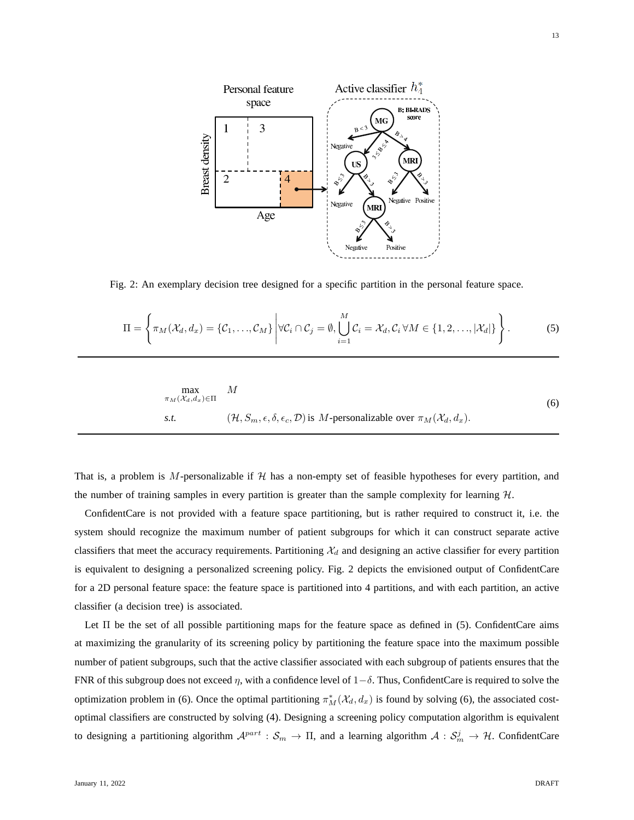

Fig. 2: An exemplary decision tree designed for a specific partition in the personal feature space.

$$
\Pi = \left\{ \pi_M(\mathcal{X}_d, d_x) = \{ \mathcal{C}_1, \dots, \mathcal{C}_M \} \middle| \forall \mathcal{C}_i \cap \mathcal{C}_j = \emptyset, \bigcup_{i=1}^M \mathcal{C}_i = \mathcal{X}_d, \mathcal{C}_i \forall M \in \{1, 2, \dots, |\mathcal{X}_d| \} \right\}.
$$
 (5)

$$
\max_{\pi_M(\mathcal{X}_d, d_x) \in \Pi} \quad M
$$
\n
$$
\text{s.t.} \quad (\mathcal{H}, S_m, \epsilon, \delta, \epsilon_c, \mathcal{D}) \text{ is } M \text{-personalizable over } \pi_M(\mathcal{X}_d, d_x). \tag{6}
$$

That is, a problem is M-personalizable if  $H$  has a non-empty set of feasible hypotheses for every partition, and the number of training samples in every partition is greater than the sample complexity for learning  $H$ .

ConfidentCare is not provided with a feature space partitioning, but is rather required to construct it, i.e. the system should recognize the maximum number of patient subgroups for which it can construct separate active classifiers that meet the accuracy requirements. Partitioning  $\mathcal{X}_d$  and designing an active classifier for every partition is equivalent to designing a personalized screening policy. Fig. 2 depicts the envisioned output of ConfidentCare for a 2D personal feature space: the feature space is partitioned into 4 partitions, and with each partition, an active classifier (a decision tree) is associated.

Let Π be the set of all possible partitioning maps for the feature space as defined in (5). ConfidentCare aims at maximizing the granularity of its screening policy by partitioning the feature space into the maximum possible number of patient subgroups, such that the active classifier associated with each subgroup of patients ensures that the FNR of this subgroup does not exceed  $\eta$ , with a confidence level of  $1-\delta$ . Thus, ConfidentCare is required to solve the optimization problem in (6). Once the optimal partitioning  $\pi_M^*(\mathcal{X}_d, d_x)$  is found by solving (6), the associated costoptimal classifiers are constructed by solving (4). Designing a screening policy computation algorithm is equivalent to designing a partitioning algorithm  $A^{part}$  :  $S_m \to \Pi$ , and a learning algorithm  $A: S_m^j \to \mathcal{H}$ . ConfidentCare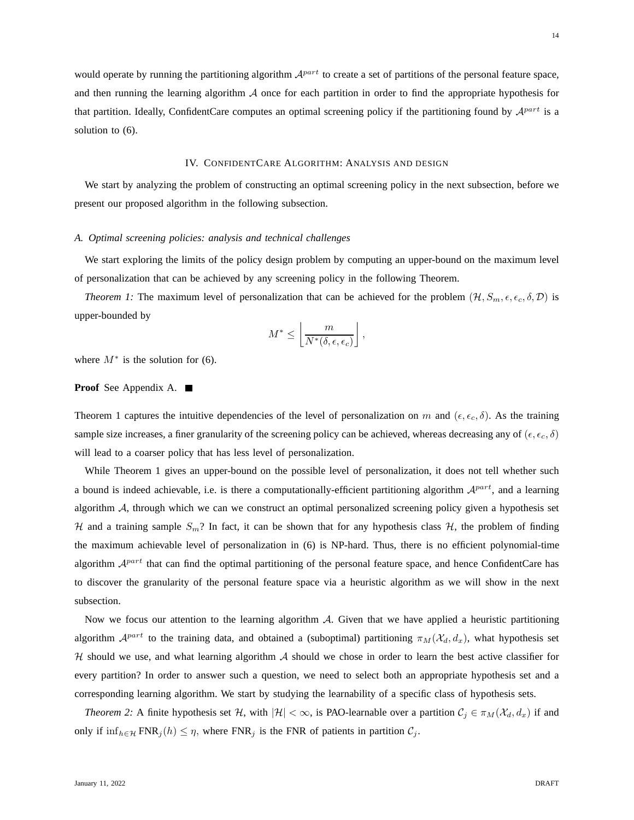would operate by running the partitioning algorithm  $A^{part}$  to create a set of partitions of the personal feature space, and then running the learning algorithm  $\mathcal A$  once for each partition in order to find the appropriate hypothesis for that partition. Ideally, ConfidentCare computes an optimal screening policy if the partitioning found by  $\mathcal{A}^{part}$  is a solution to (6).

#### IV. CONFIDENTCARE ALGORITHM: ANALYSIS AND DESIGN

We start by analyzing the problem of constructing an optimal screening policy in the next subsection, before we present our proposed algorithm in the following subsection.

#### *A. Optimal screening policies: analysis and technical challenges*

We start exploring the limits of the policy design problem by computing an upper-bound on the maximum level of personalization that can be achieved by any screening policy in the following Theorem.

*Theorem 1:* The maximum level of personalization that can be achieved for the problem  $(H, S_m, \epsilon, \epsilon_c, \delta, \mathcal{D})$  is upper-bounded by

$$
M^* \leq \left\lfloor \frac{m}{N^*(\delta, \epsilon, \epsilon_c)} \right\rfloor,
$$

where  $M^*$  is the solution for (6).

# **Proof** See Appendix A.

Theorem 1 captures the intuitive dependencies of the level of personalization on m and  $(\epsilon, \epsilon_c, \delta)$ . As the training sample size increases, a finer granularity of the screening policy can be achieved, whereas decreasing any of ( $\epsilon, \epsilon_c, \delta$ ) will lead to a coarser policy that has less level of personalization.

While Theorem 1 gives an upper-bound on the possible level of personalization, it does not tell whether such a bound is indeed achievable, i.e. is there a computationally-efficient partitioning algorithm  $A^{part}$ , and a learning algorithm  $A$ , through which we can we construct an optimal personalized screening policy given a hypothesis set H and a training sample  $S_m$ ? In fact, it can be shown that for any hypothesis class H, the problem of finding the maximum achievable level of personalization in (6) is NP-hard. Thus, there is no efficient polynomial-time algorithm  $A^{part}$  that can find the optimal partitioning of the personal feature space, and hence ConfidentCare has to discover the granularity of the personal feature space via a heuristic algorithm as we will show in the next subsection.

Now we focus our attention to the learning algorithm  $A$ . Given that we have applied a heuristic partitioning algorithm  $\mathcal{A}^{part}$  to the training data, and obtained a (suboptimal) partitioning  $\pi_M(\mathcal{X}_d, d_x)$ , what hypothesis set  $H$  should we use, and what learning algorithm  $A$  should we chose in order to learn the best active classifier for every partition? In order to answer such a question, we need to select both an appropriate hypothesis set and a corresponding learning algorithm. We start by studying the learnability of a specific class of hypothesis sets.

*Theorem 2:* A finite hypothesis set H, with  $|\mathcal{H}| < \infty$ , is PAO-learnable over a partition  $\mathcal{C}_j \in \pi_M(\mathcal{X}_d, d_x)$  if and only if  $\inf_{h \in \mathcal{H}} FNR_j(h) \leq \eta$ , where  $FNR_j$  is the FNR of patients in partition  $C_j$ .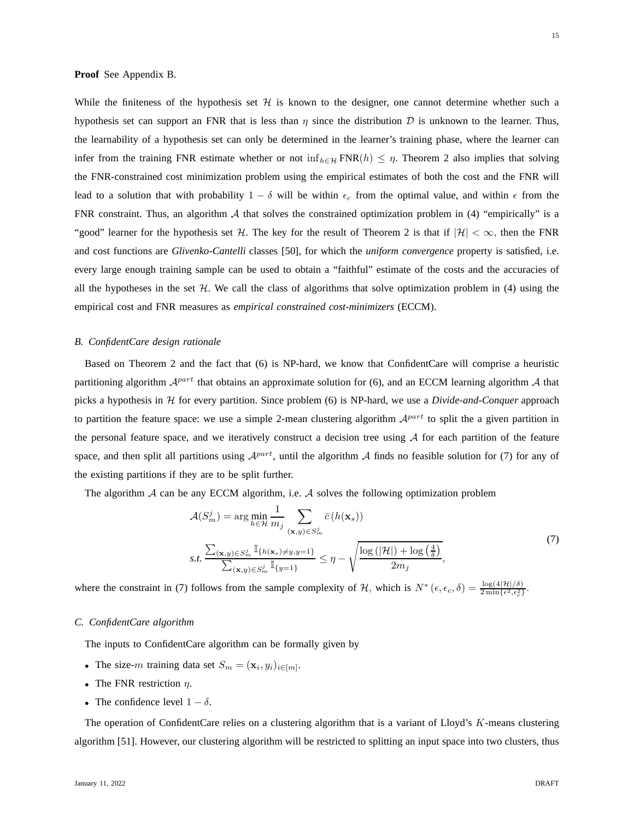#### **Proof** See Appendix B.

While the finiteness of the hypothesis set  $H$  is known to the designer, one cannot determine whether such a hypothesis set can support an FNR that is less than  $\eta$  since the distribution  $\mathcal D$  is unknown to the learner. Thus, the learnability of a hypothesis set can only be determined in the learner's training phase, where the learner can infer from the training FNR estimate whether or not inf $_{h\in H}$  FNR(h)  $\leq \eta$ . Theorem 2 also implies that solving the FNR-constrained cost minimization problem using the empirical estimates of both the cost and the FNR will lead to a solution that with probability  $1 - \delta$  will be within  $\epsilon_c$  from the optimal value, and within  $\epsilon$  from the FNR constraint. Thus, an algorithm  $A$  that solves the constrained optimization problem in (4) "empirically" is a "good" learner for the hypothesis set H. The key for the result of Theorem 2 is that if  $|H| < \infty$ , then the FNR and cost functions are *Glivenko-Cantelli* classes [50], for which the *uniform convergence* property is satisfied, i.e. every large enough training sample can be used to obtain a "faithful" estimate of the costs and the accuracies of all the hypotheses in the set  $H$ . We call the class of algorithms that solve optimization problem in (4) using the empirical cost and FNR measures as *empirical constrained cost-minimizers* (ECCM).

# *B. ConfidentCare design rationale*

Based on Theorem 2 and the fact that (6) is NP-hard, we know that ConfidentCare will comprise a heuristic partitioning algorithm  $A^{part}$  that obtains an approximate solution for (6), and an ECCM learning algorithm A that picks a hypothesis in H for every partition. Since problem (6) is NP-hard, we use a *Divide-and-Conquer* approach to partition the feature space: we use a simple 2-mean clustering algorithm  $A^{part}$  to split the a given partition in the personal feature space, and we iteratively construct a decision tree using  $A$  for each partition of the feature space, and then split all partitions using  $A^{part}$ , until the algorithm A finds no feasible solution for (7) for any of the existing partitions if they are to be split further.

The algorithm  $A$  can be any ECCM algorithm, i.e.  $A$  solves the following optimization problem

$$
\mathcal{A}(S_m^j) = \arg \min_{h \in \mathcal{H}} \frac{1}{m_j} \sum_{(\mathbf{x}, y) \in S_m^j} \bar{c}(h(\mathbf{x}_s))
$$
\n
$$
s.t. \frac{\sum_{(\mathbf{x}, y) \in S_m^j} \mathbb{I}_{\{h(\mathbf{x}_s) \neq y, y=1\}}}{\sum_{(\mathbf{x}, y) \in S_m^j} \mathbb{I}_{\{y=1\}}} \le \eta - \sqrt{\frac{\log(|\mathcal{H}|) + \log(\frac{4}{\delta})}{2m_j}},
$$
\n
$$
(7)
$$

where the constraint in (7) follows from the sample complexity of H, which is  $N^*(\epsilon, \epsilon_c, \delta) = \frac{\log(4|\mathcal{H}|/\delta)}{2 \min\{\epsilon^2, \epsilon_c^2\}}$ .

#### *C. ConfidentCare algorithm*

The inputs to ConfidentCare algorithm can be formally given by

- The size-m training data set  $S_m = (\mathbf{x}_i, y_i)_{i \in [m]}$ .
- The FNR restriction  $\eta$ .
- The confidence level  $1 \delta$ .

The operation of ConfidentCare relies on a clustering algorithm that is a variant of Lloyd's  $K$ -means clustering algorithm [51]. However, our clustering algorithm will be restricted to splitting an input space into two clusters, thus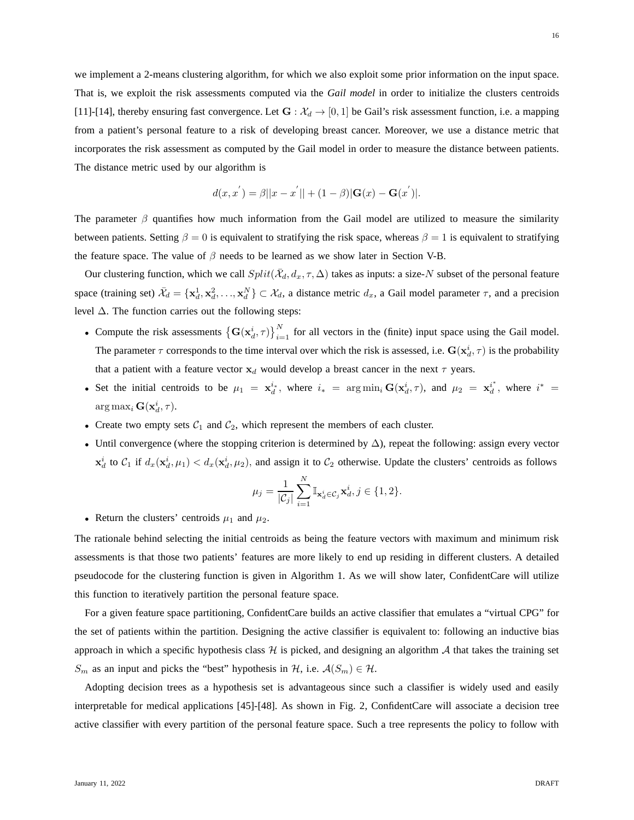we implement a 2-means clustering algorithm, for which we also exploit some prior information on the input space. That is, we exploit the risk assessments computed via the *Gail model* in order to initialize the clusters centroids [11]-[14], thereby ensuring fast convergence. Let  $G : \mathcal{X}_d \to [0,1]$  be Gail's risk assessment function, i.e. a mapping from a patient's personal feature to a risk of developing breast cancer. Moreover, we use a distance metric that incorporates the risk assessment as computed by the Gail model in order to measure the distance between patients. The distance metric used by our algorithm is

$$
d(x, x^{'}) = \beta ||x - x^{'}|| + (1 - \beta) |G(x) - G(x^{'})|.
$$

The parameter  $\beta$  quantifies how much information from the Gail model are utilized to measure the similarity between patients. Setting  $\beta = 0$  is equivalent to stratifying the risk space, whereas  $\beta = 1$  is equivalent to stratifying the feature space. The value of  $\beta$  needs to be learned as we show later in Section V-B.

Our clustering function, which we call  $Split(\bar{X}_d, d_x, \tau, \Delta)$  takes as inputs: a size-N subset of the personal feature space (training set)  $\bar{\mathcal{X}}_d = {\mathbf{x}_d^1, \mathbf{x}_d^2, ..., \mathbf{x}_d^N} \subset \mathcal{X}_d$ , a distance metric  $d_x$ , a Gail model parameter  $\tau$ , and a precision level  $\Delta$ . The function carries out the following steps:

- Compute the risk assessments  $\left\{G(x_d^i, \tau)\right\}_{i=1}^N$  for all vectors in the (finite) input space using the Gail model. The parameter  $\tau$  corresponds to the time interval over which the risk is assessed, i.e.  $G(x_d^i, \tau)$  is the probability that a patient with a feature vector  $x_d$  would develop a breast cancer in the next  $\tau$  years.
- Set the initial centroids to be  $\mu_1 = \mathbf{x}_d^{i_*}$ , where  $i_* = \arg \min_i \mathbf{G}(\mathbf{x}_d^{i}, \tau)$ , and  $\mu_2 = \mathbf{x}_d^{i^*}$  $i_d^*$ , where  $i^* =$  $\arg \max_i \mathbf{G}(\mathbf{x}_d^i, \tau).$
- Create two empty sets  $C_1$  and  $C_2$ , which represent the members of each cluster.
- Until convergence (where the stopping criterion is determined by  $\Delta$ ), repeat the following: assign every vector  $\mathbf{x}_d^i$  to  $\mathcal{C}_1$  if  $d_x(\mathbf{x}_d^i, \mu_1) < d_x(\mathbf{x}_d^i, \mu_2)$ , and assign it to  $\mathcal{C}_2$  otherwise. Update the clusters' centroids as follows

$$
\mu_j = \frac{1}{|\mathcal{C}_j|} \sum_{i=1}^N \mathbb{I}_{\mathbf{x}_d^i \in \mathcal{C}_j} \mathbf{x}_d^i, j \in \{1, 2\}.
$$

• Return the clusters' centroids  $\mu_1$  and  $\mu_2$ .

The rationale behind selecting the initial centroids as being the feature vectors with maximum and minimum risk assessments is that those two patients' features are more likely to end up residing in different clusters. A detailed pseudocode for the clustering function is given in Algorithm 1. As we will show later, ConfidentCare will utilize this function to iteratively partition the personal feature space.

For a given feature space partitioning, ConfidentCare builds an active classifier that emulates a "virtual CPG" for the set of patients within the partition. Designing the active classifier is equivalent to: following an inductive bias approach in which a specific hypothesis class  $H$  is picked, and designing an algorithm  $A$  that takes the training set  $S_m$  as an input and picks the "best" hypothesis in H, i.e.  $\mathcal{A}(S_m) \in \mathcal{H}$ .

Adopting decision trees as a hypothesis set is advantageous since such a classifier is widely used and easily interpretable for medical applications [45]-[48]. As shown in Fig. 2, ConfidentCare will associate a decision tree active classifier with every partition of the personal feature space. Such a tree represents the policy to follow with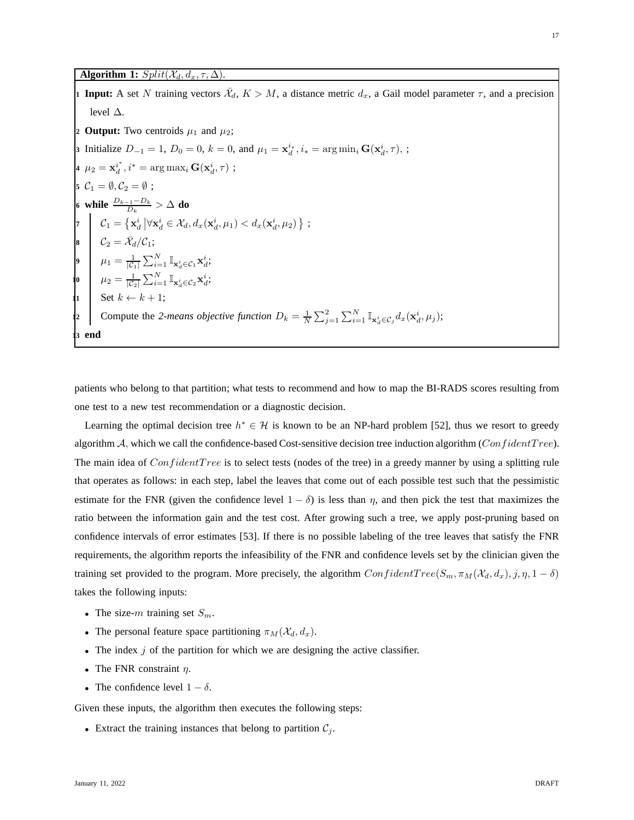# **Algorithm 1:**  $Split(\bar{\mathcal{X}}_d, d_x, \tau, \Delta)$ .

**1 Input:** A set N training vectors  $\bar{\mathcal{X}}_d$ ,  $K > M$ , a distance metric  $d_x$ , a Gail model parameter  $\tau$ , and a precision level ∆. **2 Output:** Two centroids  $\mu_1$  and  $\mu_2$ ; **3** Initialize  $D_{-1} = 1$ ,  $D_0 = 0$ ,  $k = 0$ , and  $\mu_1 = \mathbf{x}_d^{i*}$ ,  $i_* = \arg \min_i \mathbf{G}(\mathbf{x}_d^{i}, \tau)$ , ; **4**  $\mu_2 = \mathbf{x}_d^{i^*}$  $i_d^*, i^* = \arg \max_i \mathbf{G}(\mathbf{x}_d^i, \tau)$ ; **5**  $C_1 = \emptyset, C_2 = \emptyset$ ; **6 while**  $\frac{D_{k-1}-D_k}{D_k} > ∆$  **do** 7  $\mathcal{C}_1 = \left\{ \mathbf{x}_d^i \, | \forall \mathbf{x}_d^i \in \mathcal{X}_d, d_x(\mathbf{x}_d^i, \mu_1) < d_x(\mathbf{x}_d^i, \mu_2) \right\}$ ; **8**  $\mathcal{C}_2 = \bar{\mathcal{X}}_d / \mathcal{C}_1;$ **9**  $\mu_1 = \frac{1}{|\mathcal{C}_1|} \sum_{i=1}^N \mathbb{I}_{\mathbf{x}_d^i \in \mathcal{C}_1} \mathbf{x}_d^i;$  $\begin{array}{ll} \mathbf{10} & \mu_2 = \frac{1}{|\mathcal{C}_2|}\sum_{i=1}^N \mathbb{I}_{\mathbf{x}_d^i \in \mathcal{C}_2} \mathbf{x}_d^i; \end{array}$ **11** Set  $k \leftarrow k+1$ ; **12** Compute the 2-means objective function  $D_k = \frac{1}{N}$  $\sum_{j=1}^2\sum_{i=1}^N \mathbb{I}_{\mathbf{x}_d^i \in \mathcal{C}_j} d_x(\mathbf{x}_d^i, \mu_j);$ **<sup>13</sup> end**

patients who belong to that partition; what tests to recommend and how to map the BI-RADS scores resulting from one test to a new test recommendation or a diagnostic decision.

Learning the optimal decision tree  $h^* \in \mathcal{H}$  is known to be an NP-hard problem [52], thus we resort to greedy algorithm  $A$ , which we call the confidence-based Cost-sensitive decision tree induction algorithm (ConfidentTree). The main idea of *ConfidentTree* is to select tests (nodes of the tree) in a greedy manner by using a splitting rule that operates as follows: in each step, label the leaves that come out of each possible test such that the pessimistic estimate for the FNR (given the confidence level  $1 - \delta$ ) is less than  $\eta$ , and then pick the test that maximizes the ratio between the information gain and the test cost. After growing such a tree, we apply post-pruning based on confidence intervals of error estimates [53]. If there is no possible labeling of the tree leaves that satisfy the FNR requirements, the algorithm reports the infeasibility of the FNR and confidence levels set by the clinician given the training set provided to the program. More precisely, the algorithm  $ConfidentTree(S_m, \pi_M(\mathcal{X}_d, d_x), j, \eta, 1 - \delta)$ takes the following inputs:

- The size-m training set  $S_m$ .
- The personal feature space partitioning  $\pi_M (\mathcal{X}_d, d_x)$ .
- The index  $j$  of the partition for which we are designing the active classifier.
- The FNR constraint  $\eta$ .
- The confidence level  $1 \delta$ .

Given these inputs, the algorithm then executes the following steps:

• Extract the training instances that belong to partition  $C_j$ .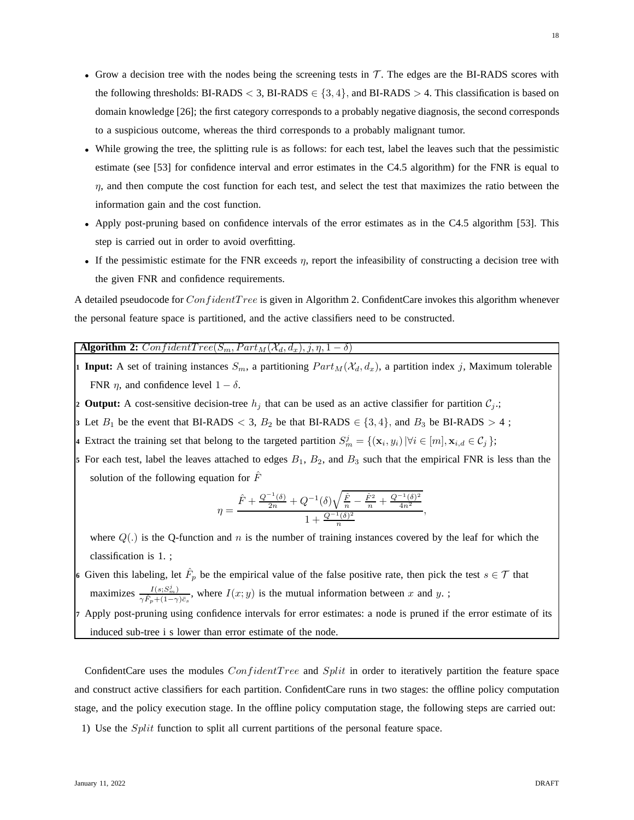- Grow a decision tree with the nodes being the screening tests in  $T$ . The edges are the BI-RADS scores with the following thresholds: BI-RADS < 3, BI-RADS  $\in \{3, 4\}$ , and BI-RADS > 4. This classification is based on domain knowledge [26]; the first category corresponds to a probably negative diagnosis, the second corresponds to a suspicious outcome, whereas the third corresponds to a probably malignant tumor.
- While growing the tree, the splitting rule is as follows: for each test, label the leaves such that the pessimistic estimate (see [53] for confidence interval and error estimates in the C4.5 algorithm) for the FNR is equal to  $\eta$ , and then compute the cost function for each test, and select the test that maximizes the ratio between the information gain and the cost function.
- Apply post-pruning based on confidence intervals of the error estimates as in the C4.5 algorithm [53]. This step is carried out in order to avoid overfitting.
- If the pessimistic estimate for the FNR exceeds  $\eta$ , report the infeasibility of constructing a decision tree with the given FNR and confidence requirements.

A detailed pseudocode for  $ConfidentTree$  is given in Algorithm 2. ConfidentCare invokes this algorithm whenever the personal feature space is partitioned, and the active classifiers need to be constructed.

# **Algorithm 2:**  $ConfidentTree(S_m, Part_M(\mathcal{X}_d, d_x), j, \eta, 1 - \delta)$

**1 Input:** A set of training instances  $S_m$ , a partitioning  $Part_M(\mathcal{X}_d, d_x)$ , a partition index j, Maximum tolerable FNR  $\eta$ , and confidence level  $1 - \delta$ .

**2 Output:** A cost-sensitive decision-tree  $h_j$  that can be used as an active classifier for partition  $C_j$ .;

- **3** Let  $B_1$  be the event that BI-RADS  $\lt$  3,  $B_2$  be that BI-RADS  $\lt$  {3, 4}, and  $B_3$  be BI-RADS  $> 4$ ;
- **4** Extract the training set that belong to the targeted partition  $S_m^j = \{(\mathbf{x}_i, y_i) | \forall i \in [m], \mathbf{x}_{i,d} \in C_j \}$ ;
- **5** For each test, label the leaves attached to edges  $B_1$ ,  $B_2$ , and  $B_3$  such that the empirical FNR is less than the solution of the following equation for  $\hat{F}$

$$
\eta = \frac{\hat{F} + \frac{Q^{-1}(\delta)}{2n} + Q^{-1}(\delta)\sqrt{\frac{\hat{F}}{n} - \frac{\hat{F}^2}{n} + \frac{Q^{-1}(\delta)^2}{4n^2}}}{1 + \frac{Q^{-1}(\delta)^2}{n}},
$$

where  $Q(.)$  is the Q-function and n is the number of training instances covered by the leaf for which the classification is 1. ;

- 6 Given this labeling, let  $\hat{F}_p$  be the empirical value of the false positive rate, then pick the test  $s \in \mathcal{T}$  that maximizes  $\frac{I(s;S_m^j)}{S_m^j+(1-s)}$  $\frac{I(s;S_m^*)}{\gamma \hat{F}_p + (1-\gamma)\bar{c}_s}$ , where  $I(x; y)$  is the mutual information between x and y.;
- **<sup>7</sup>** Apply post-pruning using confidence intervals for error estimates: a node is pruned if the error estimate of its induced sub-tree i s lower than error estimate of the node.

ConfidentCare uses the modules ConfidentTree and Split in order to iteratively partition the feature space and construct active classifiers for each partition. ConfidentCare runs in two stages: the offline policy computation stage, and the policy execution stage. In the offline policy computation stage, the following steps are carried out:

1) Use the Split function to split all current partitions of the personal feature space.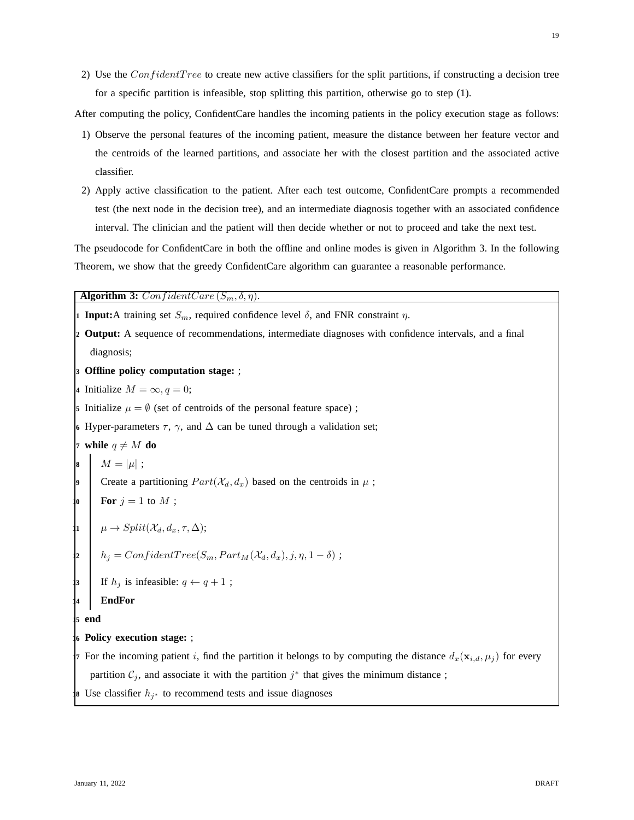2) Use the  $ConfidentTree$  to create new active classifiers for the split partitions, if constructing a decision tree for a specific partition is infeasible, stop splitting this partition, otherwise go to step (1).

After computing the policy, ConfidentCare handles the incoming patients in the policy execution stage as follows:

- 1) Observe the personal features of the incoming patient, measure the distance between her feature vector and the centroids of the learned partitions, and associate her with the closest partition and the associated active classifier.
- 2) Apply active classification to the patient. After each test outcome, ConfidentCare prompts a recommended test (the next node in the decision tree), and an intermediate diagnosis together with an associated confidence interval. The clinician and the patient will then decide whether or not to proceed and take the next test.

The pseudocode for ConfidentCare in both the offline and online modes is given in Algorithm 3. In the following Theorem, we show that the greedy ConfidentCare algorithm can guarantee a reasonable performance.

**Algorithm 3:** ConfidentCare  $(S_m, \delta, \eta)$ .

**1 <b>Input:**A training set  $S_m$ , required confidence level  $\delta$ , and FNR constraint  $\eta$ . **<sup>2</sup> Output:** A sequence of recommendations, intermediate diagnoses with confidence intervals, and a final diagnosis; **<sup>3</sup> Offline policy computation stage:** ; 4 Initialize  $M = \infty, q = 0;$ **5** Initialize  $\mu = \emptyset$  (set of centroids of the personal feature space); **6** Hyper-parameters  $\tau$ ,  $\gamma$ , and  $\Delta$  can be tuned through a validation set; **7 while**  $q \neq M$  **do**  $M = |\mu|$ ; Create a partitioning  $Part(\mathcal{X}_d, d_x)$  based on the centroids in  $\mu$ ; For  $j = 1$  to  $M$ ; **11**  $\mu \to Split(X_d, d_x, \tau, \Delta);$ **12**  $h_j = ConfidentTree(S_m, Part_M(\mathcal{X}_d, d_x), j, \eta, 1 - \delta);$ If  $h_j$  is infeasible:  $q \leftarrow q + 1$ ; **14 EndFor 15 end <sup>16</sup> Policy execution stage:** ; **7** For the incoming patient i, find the partition it belongs to by computing the distance  $d_x(\mathbf{x}_{i,d}, \mu_j)$  for every partition  $\mathcal{C}_j$ , and associate it with the partition  $j^*$  that gives the minimum distance; **18** Use classifier  $h_{j*}$  to recommend tests and issue diagnoses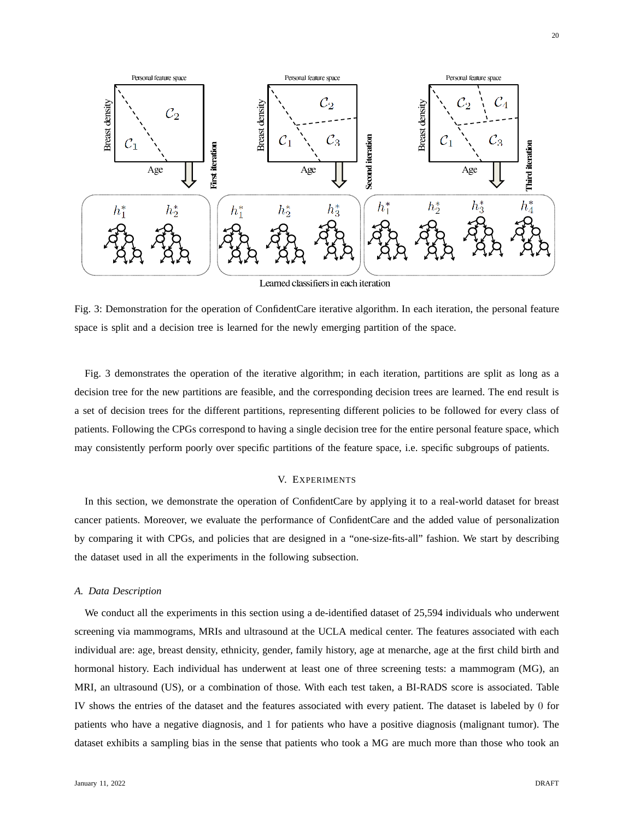

Fig. 3: Demonstration for the operation of ConfidentCare iterative algorithm. In each iteration, the personal feature space is split and a decision tree is learned for the newly emerging partition of the space.

Fig. 3 demonstrates the operation of the iterative algorithm; in each iteration, partitions are split as long as a decision tree for the new partitions are feasible, and the corresponding decision trees are learned. The end result is a set of decision trees for the different partitions, representing different policies to be followed for every class of patients. Following the CPGs correspond to having a single decision tree for the entire personal feature space, which may consistently perform poorly over specific partitions of the feature space, i.e. specific subgroups of patients.

# V. EXPERIMENTS

In this section, we demonstrate the operation of ConfidentCare by applying it to a real-world dataset for breast cancer patients. Moreover, we evaluate the performance of ConfidentCare and the added value of personalization by comparing it with CPGs, and policies that are designed in a "one-size-fits-all" fashion. We start by describing the dataset used in all the experiments in the following subsection.

# *A. Data Description*

We conduct all the experiments in this section using a de-identified dataset of 25,594 individuals who underwent screening via mammograms, MRIs and ultrasound at the UCLA medical center. The features associated with each individual are: age, breast density, ethnicity, gender, family history, age at menarche, age at the first child birth and hormonal history. Each individual has underwent at least one of three screening tests: a mammogram (MG), an MRI, an ultrasound (US), or a combination of those. With each test taken, a BI-RADS score is associated. Table IV shows the entries of the dataset and the features associated with every patient. The dataset is labeled by 0 for patients who have a negative diagnosis, and 1 for patients who have a positive diagnosis (malignant tumor). The dataset exhibits a sampling bias in the sense that patients who took a MG are much more than those who took an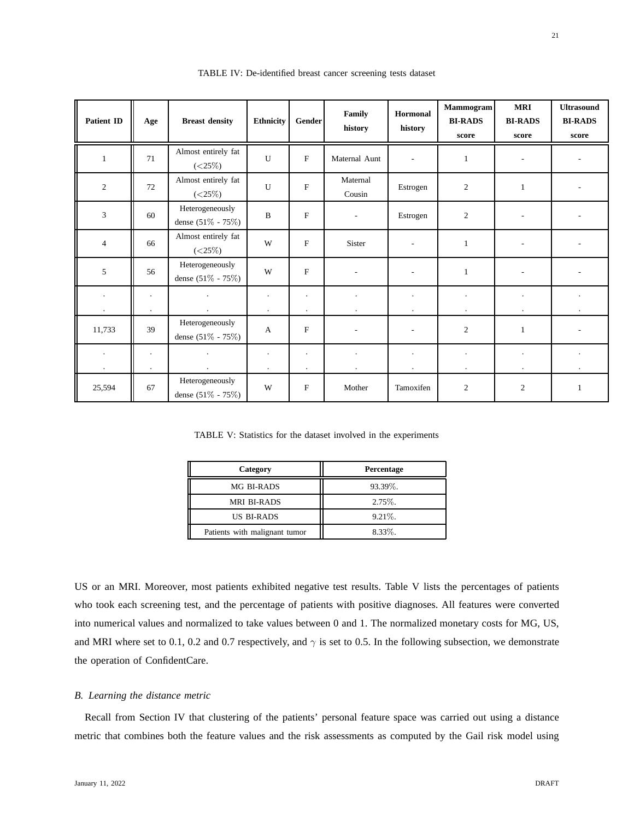| <b>Patient ID</b> | Age                       | <b>Breast density</b>                    | <b>Ethnicity</b>     | Gender                    | Family<br>history        | Hormonal<br>history      | Mammogram<br><b>BI-RADS</b><br>score | <b>MRI</b><br><b>BI-RADS</b><br>score | <b>Ultrasound</b><br><b>BI-RADS</b><br>score |
|-------------------|---------------------------|------------------------------------------|----------------------|---------------------------|--------------------------|--------------------------|--------------------------------------|---------------------------------------|----------------------------------------------|
| $\mathbf{1}$      | 71                        | Almost entirely fat<br>$(<\!\!25\%)$     | $\mathbf{U}$         | F                         | Maternal Aunt            | $\overline{\phantom{a}}$ | $\mathbf{1}$                         | ٠                                     |                                              |
| 2                 | 72                        | Almost entirely fat<br>$(<\!\!25\%)$     | U                    | $\mathbf F$               | Maternal<br>Cousin       | Estrogen                 | $\overline{c}$                       | $\mathbf{1}$                          |                                              |
| 3                 | 60                        | Heterogeneously<br>dense (51% - 75%)     | $\overline{B}$       | $\mathbf{F}$              | $\overline{\phantom{a}}$ | Estrogen                 | 2                                    |                                       |                                              |
| 4                 | 66                        | Almost entirely fat<br>$(<\!\!25\%)$     | W                    | $\mathbf F$               | Sister                   |                          | $\mathbf{1}$                         |                                       |                                              |
| 5                 | 56                        | Heterogeneously<br>dense (51% - 75%)     | W                    | $\mathbf{F}$              |                          |                          | 1                                    |                                       |                                              |
|                   | $\blacksquare$<br>$\cdot$ |                                          | $\cdot$<br>$\bullet$ | $\cdot$<br>$\cdot$        |                          |                          | $\bullet$                            | $\ddot{\phantom{0}}$                  |                                              |
| 11,733            | 39                        | Heterogeneously<br>dense $(51\% - 75\%)$ | $\mathsf{A}$         | F                         |                          |                          | $\overline{2}$                       | 1                                     |                                              |
| $\cdot$           | $\blacksquare$<br>$\cdot$ |                                          | $\cdot$<br>$\cdot$   | $\cdot$<br>$\blacksquare$ |                          | $\blacksquare$           | $\bullet$                            | $\bullet$                             |                                              |
| 25,594            | 67                        | Heterogeneously<br>dense $(51\% - 75\%)$ | W                    | ${\bf F}$                 | Mother                   | Tamoxifen                | $\overline{c}$                       | 2                                     | 1                                            |

TABLE IV: De-identified breast cancer screening tests dataset

TABLE V: Statistics for the dataset involved in the experiments

| Category                      | Percentage |  |  |
|-------------------------------|------------|--|--|
| MG BI-RADS                    | 93.39%.    |  |  |
| <b>MRI BI-RADS</b>            | $2.75\%$ . |  |  |
| <b>US BI-RADS</b>             | $9.21\%$ . |  |  |
| Patients with malignant tumor | $8.33\%$ . |  |  |

US or an MRI. Moreover, most patients exhibited negative test results. Table V lists the percentages of patients who took each screening test, and the percentage of patients with positive diagnoses. All features were converted into numerical values and normalized to take values between 0 and 1. The normalized monetary costs for MG, US, and MRI where set to 0.1, 0.2 and 0.7 respectively, and  $\gamma$  is set to 0.5. In the following subsection, we demonstrate the operation of ConfidentCare.

# *B. Learning the distance metric*

Recall from Section IV that clustering of the patients' personal feature space was carried out using a distance metric that combines both the feature values and the risk assessments as computed by the Gail risk model using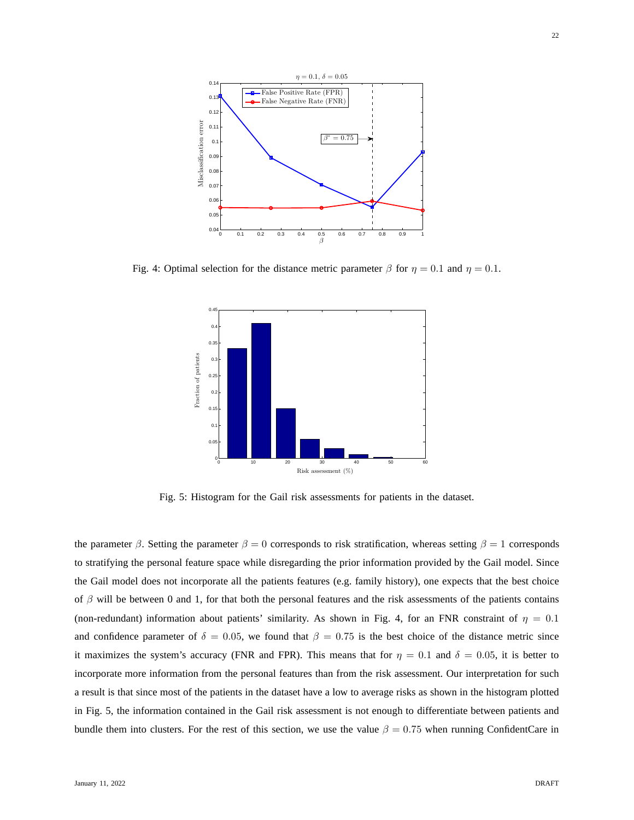

Fig. 4: Optimal selection for the distance metric parameter  $\beta$  for  $\eta = 0.1$  and  $\eta = 0.1$ .



Fig. 5: Histogram for the Gail risk assessments for patients in the dataset.

the parameter  $\beta$ . Setting the parameter  $\beta = 0$  corresponds to risk stratification, whereas setting  $\beta = 1$  corresponds to stratifying the personal feature space while disregarding the prior information provided by the Gail model. Since the Gail model does not incorporate all the patients features (e.g. family history), one expects that the best choice of  $\beta$  will be between 0 and 1, for that both the personal features and the risk assessments of the patients contains (non-redundant) information about patients' similarity. As shown in Fig. 4, for an FNR constraint of  $\eta = 0.1$ and confidence parameter of  $\delta = 0.05$ , we found that  $\beta = 0.75$  is the best choice of the distance metric since it maximizes the system's accuracy (FNR and FPR). This means that for  $\eta = 0.1$  and  $\delta = 0.05$ , it is better to incorporate more information from the personal features than from the risk assessment. Our interpretation for such a result is that since most of the patients in the dataset have a low to average risks as shown in the histogram plotted in Fig. 5, the information contained in the Gail risk assessment is not enough to differentiate between patients and bundle them into clusters. For the rest of this section, we use the value  $\beta = 0.75$  when running ConfidentCare in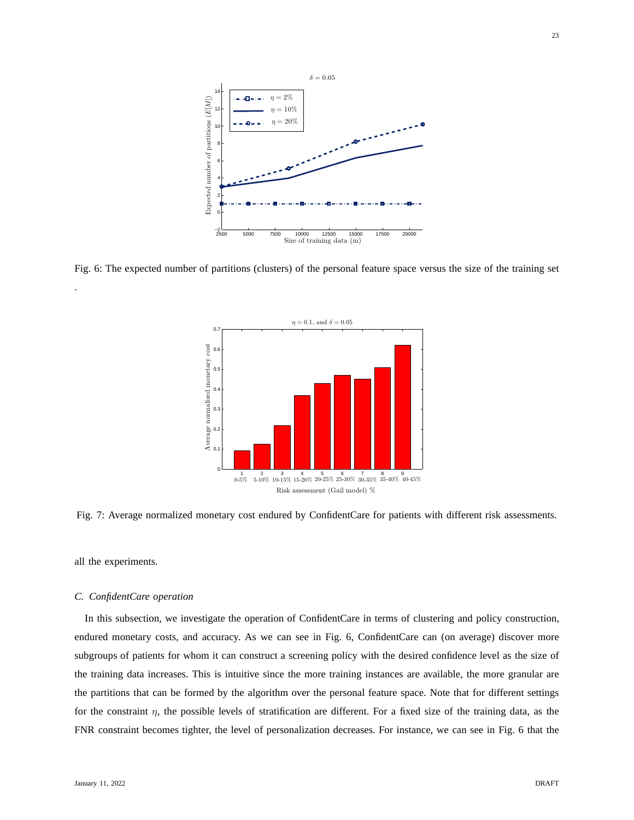

Fig. 6: The expected number of partitions (clusters) of the personal feature space versus the size of the training set



Fig. 7: Average normalized monetary cost endured by ConfidentCare for patients with different risk assessments.

all the experiments.

.

# *C. ConfidentCare operation*

In this subsection, we investigate the operation of ConfidentCare in terms of clustering and policy construction, endured monetary costs, and accuracy. As we can see in Fig. 6, ConfidentCare can (on average) discover more subgroups of patients for whom it can construct a screening policy with the desired confidence level as the size of the training data increases. This is intuitive since the more training instances are available, the more granular are the partitions that can be formed by the algorithm over the personal feature space. Note that for different settings for the constraint  $\eta$ , the possible levels of stratification are different. For a fixed size of the training data, as the FNR constraint becomes tighter, the level of personalization decreases. For instance, we can see in Fig. 6 that the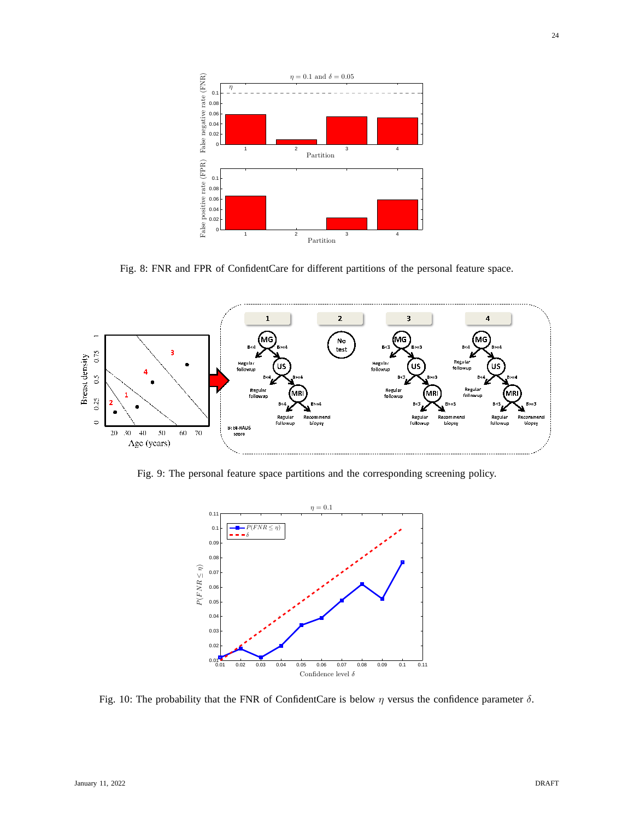

Fig. 8: FNR and FPR of ConfidentCare for different partitions of the personal feature space.



Fig. 9: The personal feature space partitions and the corresponding screening policy.



Fig. 10: The probability that the FNR of ConfidentCare is below  $\eta$  versus the confidence parameter  $\delta$ .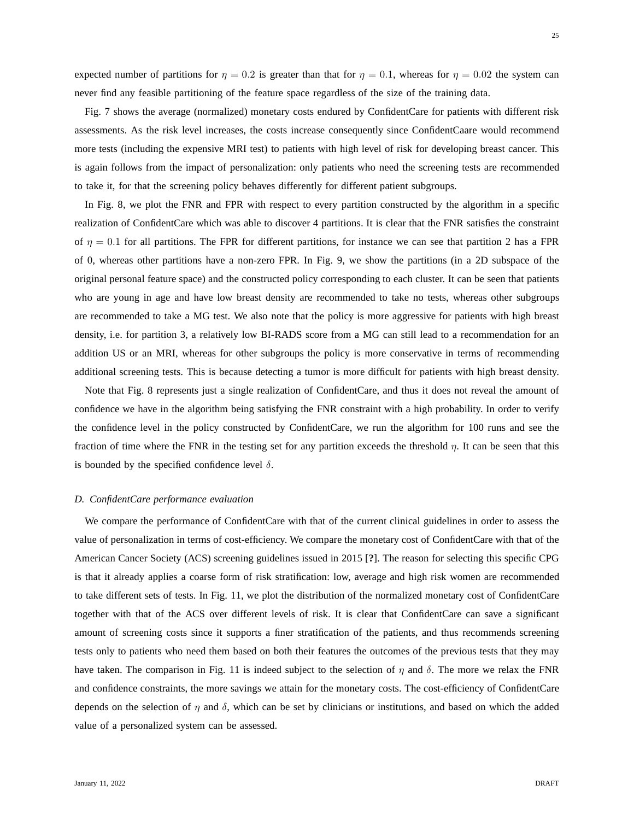25

expected number of partitions for  $\eta = 0.2$  is greater than that for  $\eta = 0.1$ , whereas for  $\eta = 0.02$  the system can never find any feasible partitioning of the feature space regardless of the size of the training data.

Fig. 7 shows the average (normalized) monetary costs endured by ConfidentCare for patients with different risk assessments. As the risk level increases, the costs increase consequently since ConfidentCaare would recommend more tests (including the expensive MRI test) to patients with high level of risk for developing breast cancer. This is again follows from the impact of personalization: only patients who need the screening tests are recommended to take it, for that the screening policy behaves differently for different patient subgroups.

In Fig. 8, we plot the FNR and FPR with respect to every partition constructed by the algorithm in a specific realization of ConfidentCare which was able to discover 4 partitions. It is clear that the FNR satisfies the constraint of  $\eta = 0.1$  for all partitions. The FPR for different partitions, for instance we can see that partition 2 has a FPR of 0, whereas other partitions have a non-zero FPR. In Fig. 9, we show the partitions (in a 2D subspace of the original personal feature space) and the constructed policy corresponding to each cluster. It can be seen that patients who are young in age and have low breast density are recommended to take no tests, whereas other subgroups are recommended to take a MG test. We also note that the policy is more aggressive for patients with high breast density, i.e. for partition 3, a relatively low BI-RADS score from a MG can still lead to a recommendation for an addition US or an MRI, whereas for other subgroups the policy is more conservative in terms of recommending additional screening tests. This is because detecting a tumor is more difficult for patients with high breast density.

Note that Fig. 8 represents just a single realization of ConfidentCare, and thus it does not reveal the amount of confidence we have in the algorithm being satisfying the FNR constraint with a high probability. In order to verify the confidence level in the policy constructed by ConfidentCare, we run the algorithm for 100 runs and see the fraction of time where the FNR in the testing set for any partition exceeds the threshold  $\eta$ . It can be seen that this is bounded by the specified confidence level  $\delta$ .

#### *D. ConfidentCare performance evaluation*

We compare the performance of ConfidentCare with that of the current clinical guidelines in order to assess the value of personalization in terms of cost-efficiency. We compare the monetary cost of ConfidentCare with that of the American Cancer Society (ACS) screening guidelines issued in 2015 [**?**]. The reason for selecting this specific CPG is that it already applies a coarse form of risk stratification: low, average and high risk women are recommended to take different sets of tests. In Fig. 11, we plot the distribution of the normalized monetary cost of ConfidentCare together with that of the ACS over different levels of risk. It is clear that ConfidentCare can save a significant amount of screening costs since it supports a finer stratification of the patients, and thus recommends screening tests only to patients who need them based on both their features the outcomes of the previous tests that they may have taken. The comparison in Fig. 11 is indeed subject to the selection of  $\eta$  and  $\delta$ . The more we relax the FNR and confidence constraints, the more savings we attain for the monetary costs. The cost-efficiency of ConfidentCare depends on the selection of  $\eta$  and  $\delta$ , which can be set by clinicians or institutions, and based on which the added value of a personalized system can be assessed.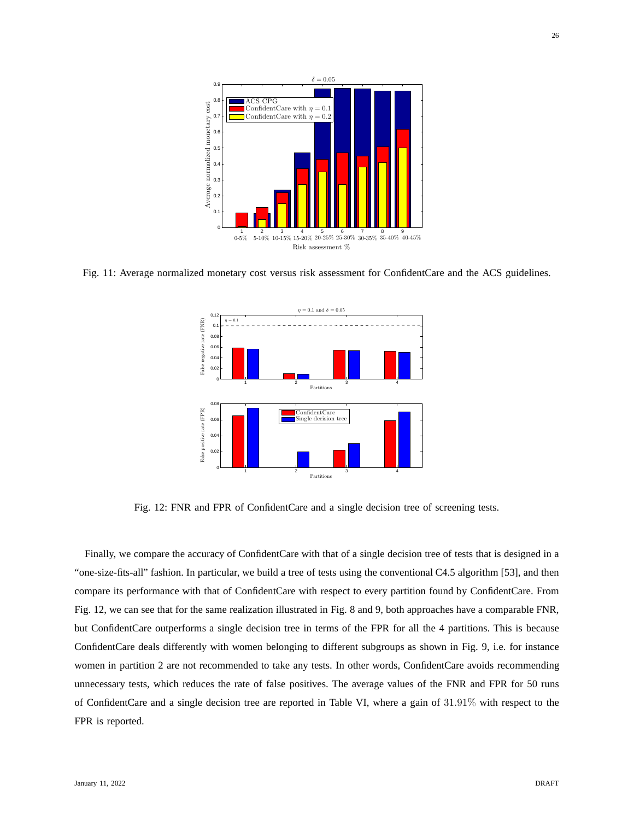

Fig. 11: Average normalized monetary cost versus risk assessment for ConfidentCare and the ACS guidelines.



Fig. 12: FNR and FPR of ConfidentCare and a single decision tree of screening tests.

Finally, we compare the accuracy of ConfidentCare with that of a single decision tree of tests that is designed in a "one-size-fits-all" fashion. In particular, we build a tree of tests using the conventional C4.5 algorithm [53], and then compare its performance with that of ConfidentCare with respect to every partition found by ConfidentCare. From Fig. 12, we can see that for the same realization illustrated in Fig. 8 and 9, both approaches have a comparable FNR, but ConfidentCare outperforms a single decision tree in terms of the FPR for all the 4 partitions. This is because ConfidentCare deals differently with women belonging to different subgroups as shown in Fig. 9, i.e. for instance women in partition 2 are not recommended to take any tests. In other words, ConfidentCare avoids recommending unnecessary tests, which reduces the rate of false positives. The average values of the FNR and FPR for 50 runs of ConfidentCare and a single decision tree are reported in Table VI, where a gain of 31.91% with respect to the FPR is reported.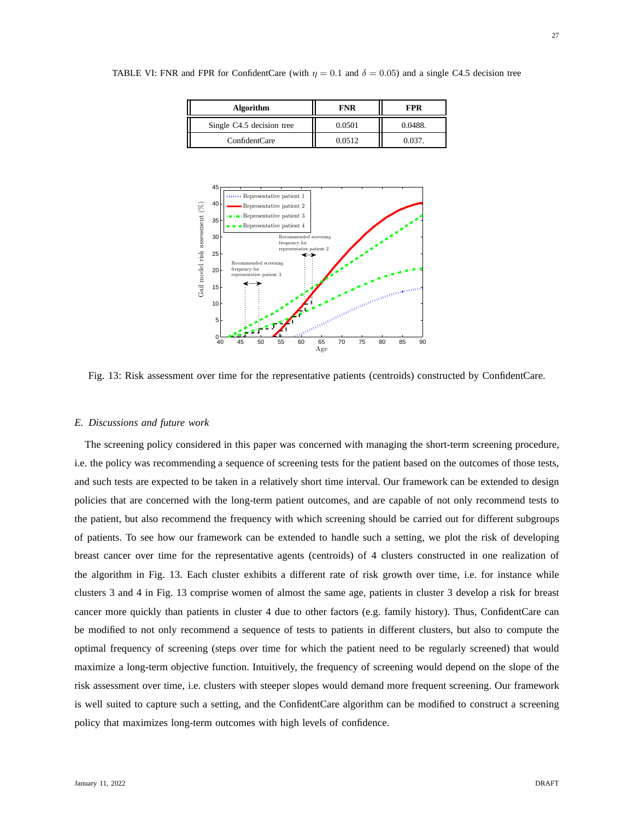| <b>Algorithm</b>          | <b>FNR</b> | <b>FPR</b> |
|---------------------------|------------|------------|
| Single C4.5 decision tree | 0.0501     | 0.0488.    |
| ConfidentCare             | 0.0512     | 0.037.     |



TABLE VI: FNR and FPR for ConfidentCare (with  $\eta = 0.1$  and  $\delta = 0.05$ ) and a single C4.5 decision tree

Fig. 13: Risk assessment over time for the representative patients (centroids) constructed by ConfidentCare.

#### *E. Discussions and future work*

The screening policy considered in this paper was concerned with managing the short-term screening procedure, i.e. the policy was recommending a sequence of screening tests for the patient based on the outcomes of those tests, and such tests are expected to be taken in a relatively short time interval. Our framework can be extended to design policies that are concerned with the long-term patient outcomes, and are capable of not only recommend tests to the patient, but also recommend the frequency with which screening should be carried out for different subgroups of patients. To see how our framework can be extended to handle such a setting, we plot the risk of developing breast cancer over time for the representative agents (centroids) of 4 clusters constructed in one realization of the algorithm in Fig. 13. Each cluster exhibits a different rate of risk growth over time, i.e. for instance while clusters 3 and 4 in Fig. 13 comprise women of almost the same age, patients in cluster 3 develop a risk for breast cancer more quickly than patients in cluster 4 due to other factors (e.g. family history). Thus, ConfidentCare can be modified to not only recommend a sequence of tests to patients in different clusters, but also to compute the optimal frequency of screening (steps over time for which the patient need to be regularly screened) that would maximize a long-term objective function. Intuitively, the frequency of screening would depend on the slope of the risk assessment over time, i.e. clusters with steeper slopes would demand more frequent screening. Our framework is well suited to capture such a setting, and the ConfidentCare algorithm can be modified to construct a screening policy that maximizes long-term outcomes with high levels of confidence.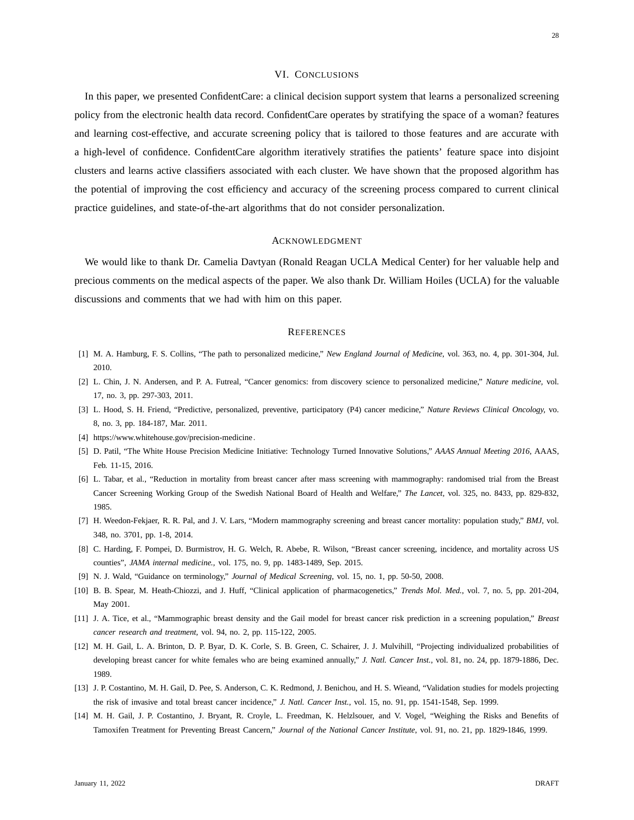# VI. CONCLUSIONS

In this paper, we presented ConfidentCare: a clinical decision support system that learns a personalized screening policy from the electronic health data record. ConfidentCare operates by stratifying the space of a woman? features and learning cost-effective, and accurate screening policy that is tailored to those features and are accurate with a high-level of confidence. ConfidentCare algorithm iteratively stratifies the patients' feature space into disjoint clusters and learns active classifiers associated with each cluster. We have shown that the proposed algorithm has the potential of improving the cost efficiency and accuracy of the screening process compared to current clinical practice guidelines, and state-of-the-art algorithms that do not consider personalization.

# ACKNOWLEDGMENT

We would like to thank Dr. Camelia Davtyan (Ronald Reagan UCLA Medical Center) for her valuable help and precious comments on the medical aspects of the paper. We also thank Dr. William Hoiles (UCLA) for the valuable discussions and comments that we had with him on this paper.

#### **REFERENCES**

- [1] M. A. Hamburg, F. S. Collins, "The path to personalized medicine," *New England Journal of Medicine,* vol. 363, no. 4, pp. 301-304, Jul. 2010.
- [2] L. Chin, J. N. Andersen, and P. A. Futreal, "Cancer genomics: from discovery science to personalized medicine," *Nature medicine,* vol. 17, no. 3, pp. 297-303, 2011.
- [3] L. Hood, S. H. Friend, "Predictive, personalized, preventive, participatory (P4) cancer medicine," *Nature Reviews Clinical Oncology,* vo. 8, no. 3, pp. 184-187, Mar. 2011.
- [4] https://www.whitehouse.gov/precision-medicine.
- [5] D. Patil, "The White House Precision Medicine Initiative: Technology Turned Innovative Solutions," *AAAS Annual Meeting 2016*, AAAS, Feb. 11-15, 2016.
- [6] L. Tabar, et al., "Reduction in mortality from breast cancer after mass screening with mammography: randomised trial from the Breast Cancer Screening Working Group of the Swedish National Board of Health and Welfare," *The Lancet*, vol. 325, no. 8433, pp. 829-832, 1985.
- [7] H. Weedon-Fekjaer, R. R. Pal, and J. V. Lars, "Modern mammography screening and breast cancer mortality: population study," *BMJ*, vol. 348, no. 3701, pp. 1-8, 2014.
- [8] C. Harding, F. Pompei, D. Burmistrov, H. G. Welch, R. Abebe, R. Wilson, "Breast cancer screening, incidence, and mortality across US counties", *JAMA internal medicine.,* vol. 175, no. 9, pp. 1483-1489, Sep. 2015.
- [9] N. J. Wald, "Guidance on terminology," *Journal of Medical Screening*, vol. 15, no. 1, pp. 50-50, 2008.
- [10] B. B. Spear, M. Heath-Chiozzi, and J. Huff, "Clinical application of pharmacogenetics," *Trends Mol. Med.*, vol. 7, no. 5, pp. 201-204, May 2001.
- [11] J. A. Tice, et al., "Mammographic breast density and the Gail model for breast cancer risk prediction in a screening population," *Breast cancer research and treatment*, vol. 94, no. 2, pp. 115-122, 2005.
- [12] M. H. Gail, L. A. Brinton, D. P. Byar, D. K. Corle, S. B. Green, C. Schairer, J. J. Mulvihill, "Projecting individualized probabilities of developing breast cancer for white females who are being examined annually," *J. Natl. Cancer Inst.,* vol. 81, no. 24, pp. 1879-1886, Dec. 1989.
- [13] J. P. Costantino, M. H. Gail, D. Pee, S. Anderson, C. K. Redmond, J. Benichou, and H. S. Wieand, "Validation studies for models projecting the risk of invasive and total breast cancer incidence," *J. Natl. Cancer Inst.,* vol. 15, no. 91, pp. 1541-1548, Sep. 1999.
- [14] M. H. Gail, J. P. Costantino, J. Bryant, R. Croyle, L. Freedman, K. Helzlsouer, and V. Vogel, "Weighing the Risks and Benefits of Tamoxifen Treatment for Preventing Breast Cancern," *Journal of the National Cancer Institute*, vol. 91, no. 21, pp. 1829-1846, 1999.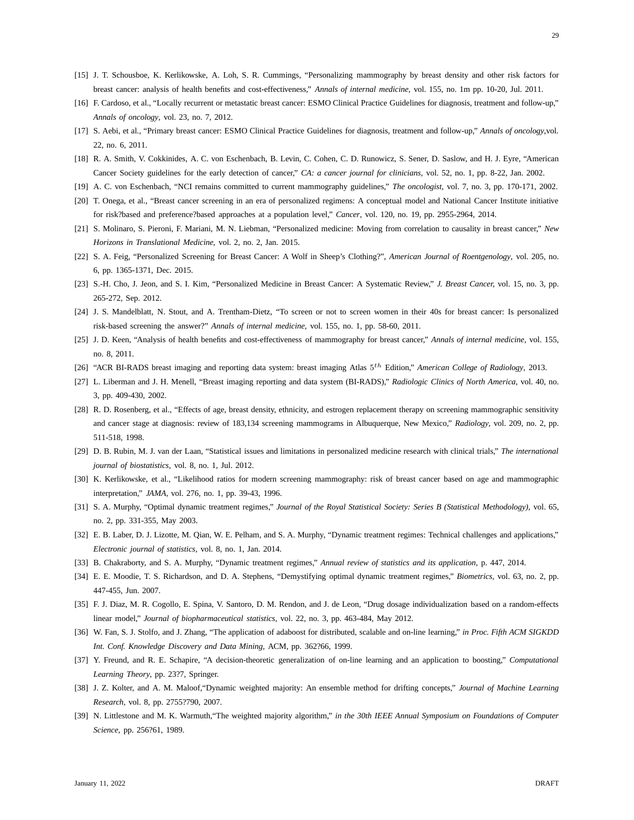- [15] J. T. Schousboe, K. Kerlikowske, A. Loh, S. R. Cummings, "Personalizing mammography by breast density and other risk factors for breast cancer: analysis of health benefits and cost-effectiveness," *Annals of internal medicine,* vol. 155, no. 1m pp. 10-20, Jul. 2011.
- [16] F. Cardoso, et al., "Locally recurrent or metastatic breast cancer: ESMO Clinical Practice Guidelines for diagnosis, treatment and follow-up," *Annals of oncology*, vol. 23, no. 7, 2012.
- [17] S. Aebi, et al., "Primary breast cancer: ESMO Clinical Practice Guidelines for diagnosis, treatment and follow-up," *Annals of oncology*,vol. 22, no. 6, 2011.
- [18] R. A. Smith, V. Cokkinides, A. C. von Eschenbach, B. Levin, C. Cohen, C. D. Runowicz, S. Sener, D. Saslow, and H. J. Eyre, "American Cancer Society guidelines for the early detection of cancer," *CA: a cancer journal for clinicians,* vol. 52, no. 1, pp. 8-22, Jan. 2002.
- [19] A. C. von Eschenbach, "NCI remains committed to current mammography guidelines," *The oncologist*, vol. 7, no. 3, pp. 170-171, 2002.
- [20] T. Onega, et al., "Breast cancer screening in an era of personalized regimens: A conceptual model and National Cancer Institute initiative for risk?based and preference?based approaches at a population level," *Cancer*, vol. 120, no. 19, pp. 2955-2964, 2014.
- [21] S. Molinaro, S. Pieroni, F. Mariani, M. N. Liebman, "Personalized medicine: Moving from correlation to causality in breast cancer," *New Horizons in Translational Medicine,* vol. 2, no. 2, Jan. 2015.
- [22] S. A. Feig, "Personalized Screening for Breast Cancer: A Wolf in Sheep's Clothing?", *American Journal of Roentgenology*, vol. 205, no. 6, pp. 1365-1371, Dec. 2015.
- [23] S.-H. Cho, J. Jeon, and S. I. Kim, "Personalized Medicine in Breast Cancer: A Systematic Review," *J. Breast Cancer,* vol. 15, no. 3, pp. 265-272, Sep. 2012.
- [24] J. S. Mandelblatt, N. Stout, and A. Trentham-Dietz, "To screen or not to screen women in their 40s for breast cancer: Is personalized risk-based screening the answer?" *Annals of internal medicine*, vol. 155, no. 1, pp. 58-60, 2011.
- [25] J. D. Keen, "Analysis of health benefits and cost-effectiveness of mammography for breast cancer," *Annals of internal medicine*, vol. 155, no. 8, 2011.
- [26] "ACR BI-RADS breast imaging and reporting data system: breast imaging Atlas 5<sup>th</sup> Edition," *American College of Radiology*, 2013.
- [27] L. Liberman and J. H. Menell, "Breast imaging reporting and data system (BI-RADS)," *Radiologic Clinics of North America*, vol. 40, no. 3, pp. 409-430, 2002.
- [28] R. D. Rosenberg, et al., "Effects of age, breast density, ethnicity, and estrogen replacement therapy on screening mammographic sensitivity and cancer stage at diagnosis: review of 183,134 screening mammograms in Albuquerque, New Mexico," *Radiology*, vol. 209, no. 2, pp. 511-518, 1998.
- [29] D. B. Rubin, M. J. van der Laan, "Statistical issues and limitations in personalized medicine research with clinical trials," *The international journal of biostatistics,* vol. 8, no. 1, Jul. 2012.
- [30] K. Kerlikowske, et al., "Likelihood ratios for modern screening mammography: risk of breast cancer based on age and mammographic interpretation," *JAMA*, vol. 276, no. 1, pp. 39-43, 1996.
- [31] S. A. Murphy, "Optimal dynamic treatment regimes," *Journal of the Royal Statistical Society: Series B (Statistical Methodology),* vol. 65, no. 2, pp. 331-355, May 2003.
- [32] E. B. Laber, D. J. Lizotte, M. Qian, W. E. Pelham, and S. A. Murphy, "Dynamic treatment regimes: Technical challenges and applications," *Electronic journal of statistics,* vol. 8, no. 1, Jan. 2014.
- [33] B. Chakraborty, and S. A. Murphy, "Dynamic treatment regimes," *Annual review of statistics and its application*, p. 447, 2014.
- [34] E. E. Moodie, T. S. Richardson, and D. A. Stephens, "Demystifying optimal dynamic treatment regimes," *Biometrics,* vol. 63, no. 2, pp. 447-455, Jun. 2007.
- [35] F. J. Diaz, M. R. Cogollo, E. Spina, V. Santoro, D. M. Rendon, and J. de Leon, "Drug dosage individualization based on a random-effects linear model," *Journal of biopharmaceutical statistics,* vol. 22, no. 3, pp. 463-484, May 2012.
- [36] W. Fan, S. J. Stolfo, and J. Zhang, "The application of adaboost for distributed, scalable and on-line learning," *in Proc. Fifth ACM SIGKDD Int. Conf. Knowledge Discovery and Data Mining*, ACM, pp. 362?66, 1999.
- [37] Y. Freund, and R. E. Schapire, "A decision-theoretic generalization of on-line learning and an application to boosting," *Computational Learning Theory*, pp. 23?7, Springer.
- [38] J. Z. Kolter, and A. M. Maloof,"Dynamic weighted majority: An ensemble method for drifting concepts," *Journal of Machine Learning Research,* vol. 8, pp. 2755?790, 2007.
- [39] N. Littlestone and M. K. Warmuth,"The weighted majority algorithm," *in the 30th IEEE Annual Symposium on Foundations of Computer Science*, pp. 256?61, 1989.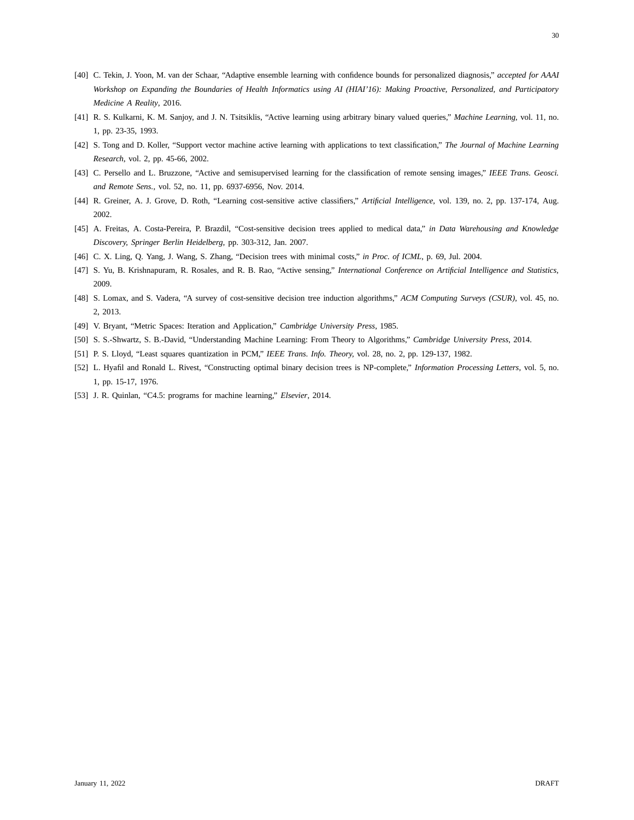- [40] C. Tekin, J. Yoon, M. van der Schaar, "Adaptive ensemble learning with confidence bounds for personalized diagnosis," *accepted for AAAI Workshop on Expanding the Boundaries of Health Informatics using AI (HIAI'16): Making Proactive, Personalized, and Participatory Medicine A Reality*, 2016.
- [41] R. S. Kulkarni, K. M. Sanjoy, and J. N. Tsitsiklis, "Active learning using arbitrary binary valued queries," *Machine Learning,* vol. 11, no. 1, pp. 23-35, 1993.
- [42] S. Tong and D. Koller, "Support vector machine active learning with applications to text classification," *The Journal of Machine Learning Research*, vol. 2, pp. 45-66, 2002.
- [43] C. Persello and L. Bruzzone, "Active and semisupervised learning for the classification of remote sensing images," *IEEE Trans. Geosci. and Remote Sens.,* vol. 52, no. 11, pp. 6937-6956, Nov. 2014.
- [44] R. Greiner, A. J. Grove, D. Roth, "Learning cost-sensitive active classifiers," *Artificial Intelligence,* vol. 139, no. 2, pp. 137-174, Aug. 2002.
- [45] A. Freitas, A. Costa-Pereira, P. Brazdil, "Cost-sensitive decision trees applied to medical data," *in Data Warehousing and Knowledge Discovery, Springer Berlin Heidelberg*, pp. 303-312, Jan. 2007.
- [46] C. X. Ling, Q. Yang, J. Wang, S. Zhang, "Decision trees with minimal costs," *in Proc. of ICML*, p. 69, Jul. 2004.
- [47] S. Yu, B. Krishnapuram, R. Rosales, and R. B. Rao, "Active sensing," *International Conference on Artificial Intelligence and Statistics,* 2009.
- [48] S. Lomax, and S. Vadera, "A survey of cost-sensitive decision tree induction algorithms," *ACM Computing Surveys (CSUR),* vol. 45, no. 2, 2013.
- [49] V. Bryant, "Metric Spaces: Iteration and Application," *Cambridge University Press*, 1985.
- [50] S. S.-Shwartz, S. B.-David, "Understanding Machine Learning: From Theory to Algorithms," *Cambridge University Press*, 2014.
- [51] P. S. Lloyd, "Least squares quantization in PCM," *IEEE Trans. Info. Theory,* vol. 28, no. 2, pp. 129-137, 1982.
- [52] L. Hyafil and Ronald L. Rivest, "Constructing optimal binary decision trees is NP-complete," *Information Processing Letters*, vol. 5, no. 1, pp. 15-17, 1976.
- [53] J. R. Quinlan, "C4.5: programs for machine learning," *Elsevier*, 2014.